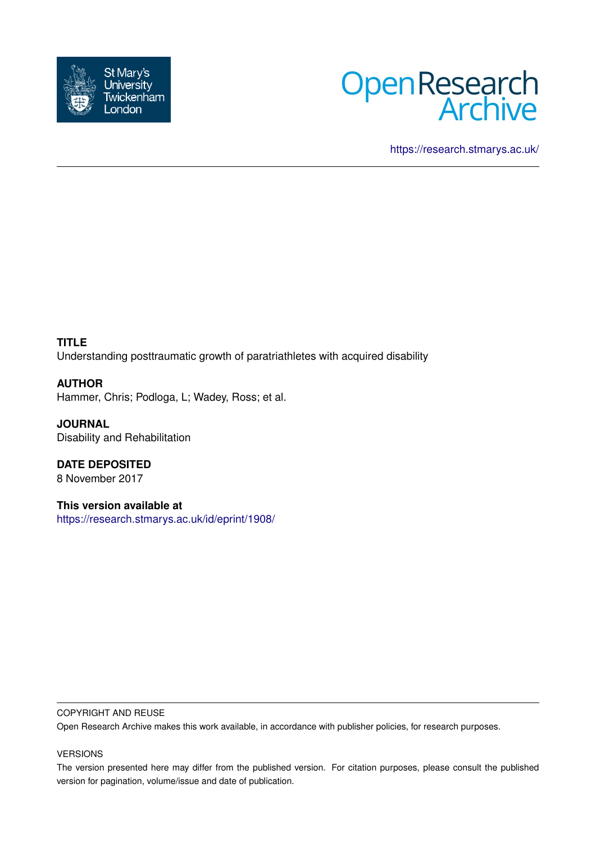



<https://research.stmarys.ac.uk/>

**TITLE** Understanding posttraumatic growth of paratriathletes with acquired disability

**AUTHOR** Hammer, Chris; Podloga, L; Wadey, Ross; et al.

**JOURNAL** Disability and Rehabilitation

**DATE DEPOSITED** 8 November 2017

**This version available at** <https://research.stmarys.ac.uk/id/eprint/1908/>

#### COPYRIGHT AND REUSE

Open Research Archive makes this work available, in accordance with publisher policies, for research purposes.

## VERSIONS

The version presented here may differ from the published version. For citation purposes, please consult the published version for pagination, volume/issue and date of publication.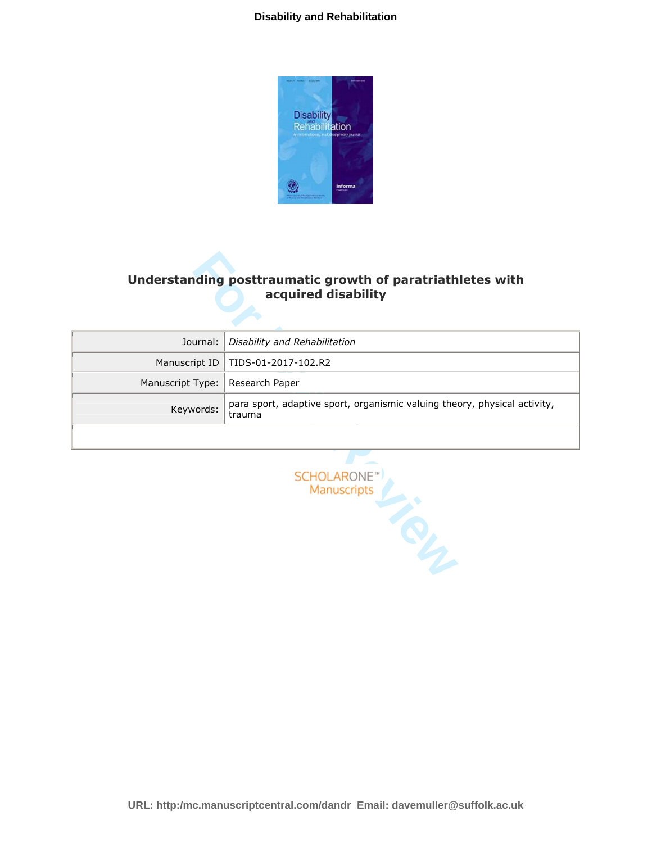#### **Disability and Rehabilitation**



# **Understanding posttraumatic growth of paratriathletes with acquired disability**

|                  | Understanding posttraumatic growth of paratriathletes with<br>acquired disability   |
|------------------|-------------------------------------------------------------------------------------|
| Journal:         | Disability and Rehabilitation                                                       |
| Manuscript ID    | TIDS-01-2017-102.R2                                                                 |
| Manuscript Type: | Research Paper                                                                      |
| Keywords:        | para sport, adaptive sport, organismic valuing theory, physical activity,<br>trauma |
|                  |                                                                                     |
|                  | <b>SCHOLARONE™</b><br>Manuscripts                                                   |

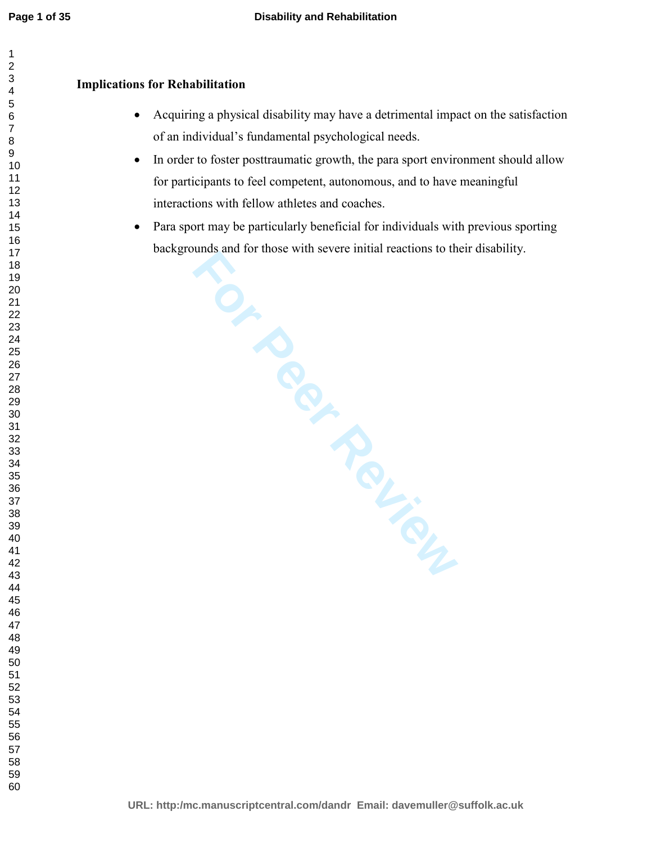# **Implications for Rehabilitation**

- Acquiring a physical disability may have a detrimental impact on the satisfaction of an individual's fundamental psychological needs.
- In order to foster posttraumatic growth, the para sport environment should allow for participants to feel competent, autonomous, and to have meaningful interactions with fellow athletes and coaches.
- Para sport may be particularly beneficial for individuals with previous sporting backgrounds and for those with severe initial reactions to their disability.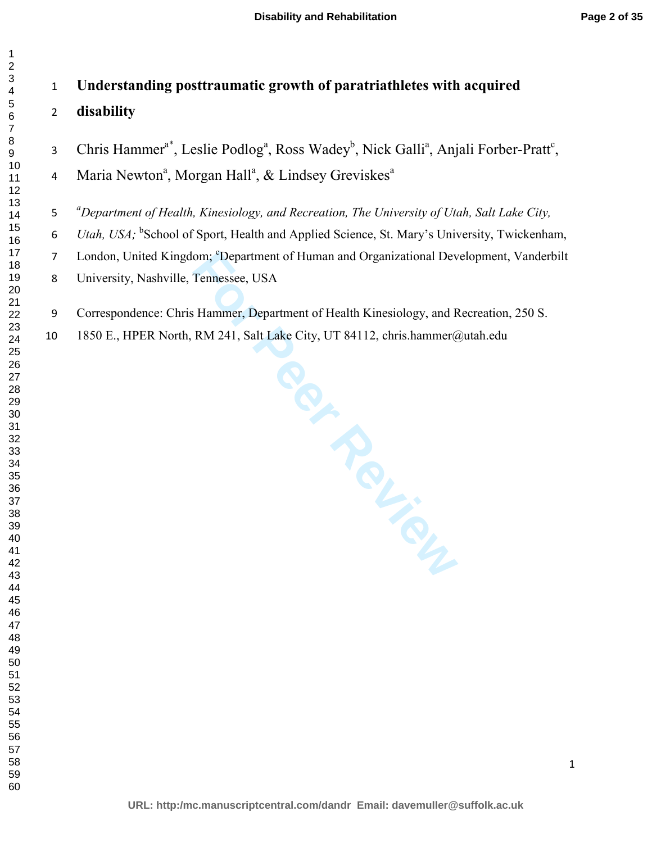#### $\overline{2}$  $\overline{\mathbf{4}}$  $\overline{7}$

 $\mathbf 1$ 

# **Understanding posttraumatic growth of paratriathletes with acquired disability**

3 Chris Hammer<sup>a\*</sup>, Leslie Podlog<sup>a</sup>, Ross Wadey<sup>b</sup>, Nick Galli<sup>a</sup>, Anjali Forber-Pratt<sup>c</sup>,

Maria Newton<sup>a</sup>, Morgan Hall<sup>a</sup>, & Lindsey Greviskes<sup>a</sup> 

*a Department of Health, Kinesiology, and Recreation, The University of Utah, Salt Lake City,* 

6 *Utah, USA;* <sup>b</sup>School of Sport, Health and Applied Science, St. Mary's University, Twickenham,

7 London, United Kingdom; <sup>c</sup>Department of Human and Organizational Development, Vanderbilt

University, Nashville, Tennessee, USA

Correspondence: Chris Hammer, Department of Health Kinesiology, and Recreation, 250 S.

1850 E., HPER North, RM 241, Salt Lake City, UT 84112, chris.hammer@utah.edu

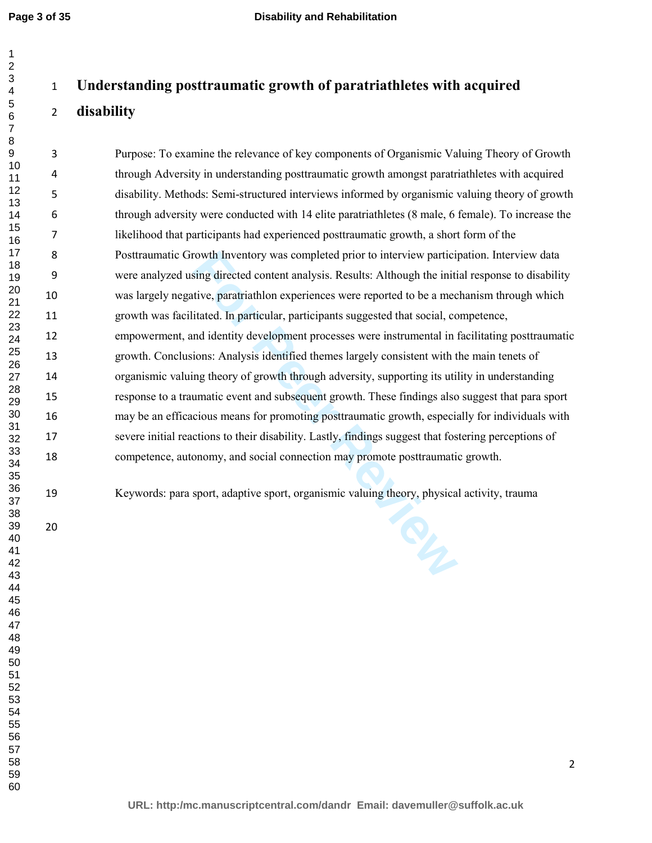# **Understanding posttraumatic growth of paratriathletes with acquired disability**

From the Inventory was completed prior to interview particijus principly directed content analysis. Results: Although the inititive, paratriathlon experiences were reported to be a mectated. In particular, participants sug Purpose: To examine the relevance of key components of Organismic Valuing Theory of Growth through Adversity in understanding posttraumatic growth amongst paratriathletes with acquired disability. Methods: Semi-structured interviews informed by organismic valuing theory of growth through adversity were conducted with 14 elite paratriathletes (8 male, 6 female). To increase the likelihood that participants had experienced posttraumatic growth, a short form of the Posttraumatic Growth Inventory was completed prior to interview participation. Interview data were analyzed using directed content analysis. Results: Although the initial response to disability was largely negative, paratriathlon experiences were reported to be a mechanism through which growth was facilitated. In particular, participants suggested that social, competence, empowerment, and identity development processes were instrumental in facilitating posttraumatic growth. Conclusions: Analysis identified themes largely consistent with the main tenets of organismic valuing theory of growth through adversity, supporting its utility in understanding response to a traumatic event and subsequent growth. These findings also suggest that para sport may be an efficacious means for promoting posttraumatic growth, especially for individuals with severe initial reactions to their disability. Lastly, findings suggest that fostering perceptions of competence, autonomy, and social connection may promote posttraumatic growth.

Keywords: para sport, adaptive sport, organismic valuing theory, physical activity, trauma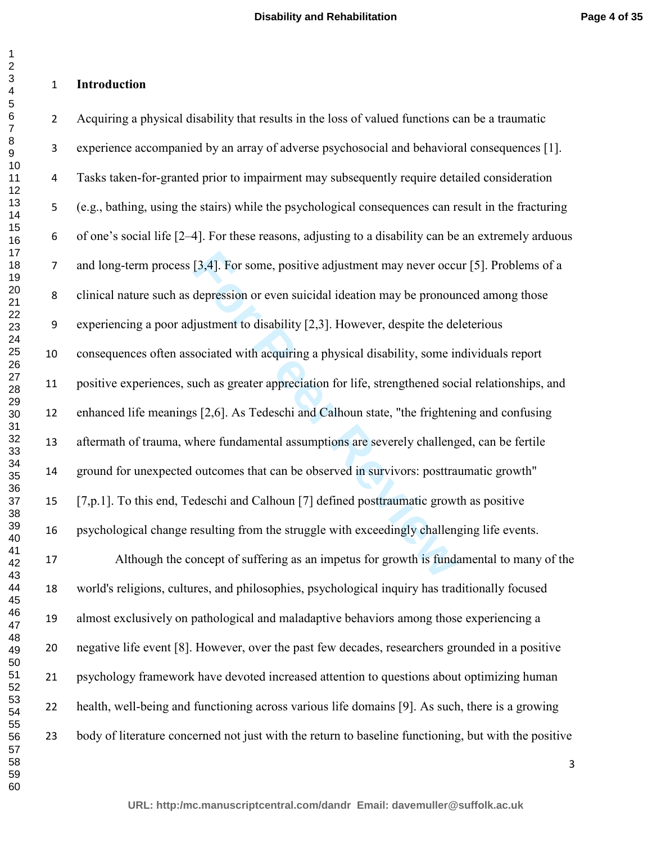#### **Introduction**

[3,4]. For some, positive adjustment may never occurde<br>pression or even suicidal ideation may be pronour<br>justment to disability [2,3]. However, despite the de<br>sociated with acquiring a physical disability, some ir<br>uch as g Acquiring a physical disability that results in the loss of valued functions can be a traumatic experience accompanied by an array of adverse psychosocial and behavioral consequences [1]. Tasks taken-for-granted prior to impairment may subsequently require detailed consideration (e.g., bathing, using the stairs) while the psychological consequences can result in the fracturing of one's social life [2–4]. For these reasons, adjusting to a disability can be an extremely arduous and long-term process [3,4]. For some, positive adjustment may never occur [5]. Problems of a clinical nature such as depression or even suicidal ideation may be pronounced among those experiencing a poor adjustment to disability [2,3]. However, despite the deleterious consequences often associated with acquiring a physical disability, some individuals report positive experiences, such as greater appreciation for life, strengthened social relationships, and enhanced life meanings [2,6]. As Tedeschi and Calhoun state, "the frightening and confusing aftermath of trauma, where fundamental assumptions are severely challenged, can be fertile ground for unexpected outcomes that can be observed in survivors: posttraumatic growth" [7,p.1]. To this end, Tedeschi and Calhoun [7] defined posttraumatic growth as positive psychological change resulting from the struggle with exceedingly challenging life events. Although the concept of suffering as an impetus for growth is fundamental to many of the world's religions, cultures, and philosophies, psychological inquiry has traditionally focused almost exclusively on pathological and maladaptive behaviors among those experiencing a negative life event [8]. However, over the past few decades, researchers grounded in a positive psychology framework have devoted increased attention to questions about optimizing human

body of literature concerned not just with the return to baseline functioning, but with the positive

health, well-being and functioning across various life domains [9]. As such, there is a growing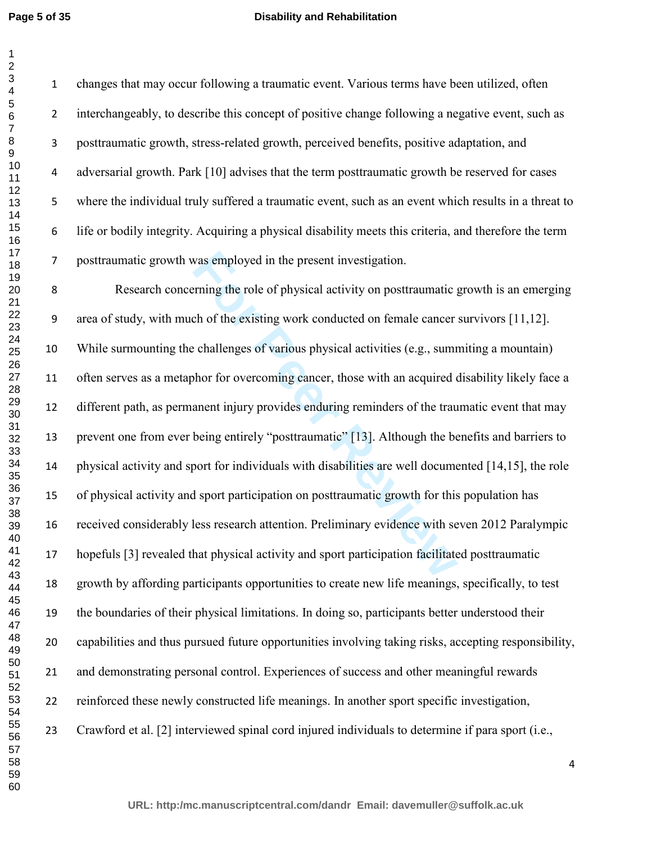$\mathbf{1}$ 

#### **Disability and Rehabilitation**

changes that may occur following a traumatic event. Various terms have been utilized, often interchangeably, to describe this concept of positive change following a negative event, such as posttraumatic growth, stress-related growth, perceived benefits, positive adaptation, and adversarial growth. Park [10] advises that the term posttraumatic growth be reserved for cases where the individual truly suffered a traumatic event, such as an event which results in a threat to life or bodily integrity. Acquiring a physical disability meets this criteria, and therefore the term posttraumatic growth was employed in the present investigation.

was employed in the present investigation.<br>
Fraing the role of physical activity on posttraumatic g<br>
ch of the existing work conducted on female cancer<br>
challenges of various physical activities (e.g., sum<br>
phor for overco Research concerning the role of physical activity on posttraumatic growth is an emerging area of study, with much of the existing work conducted on female cancer survivors [11,12]. While surmounting the challenges of various physical activities (e.g., summiting a mountain) often serves as a metaphor for overcoming cancer, those with an acquired disability likely face a different path, as permanent injury provides enduring reminders of the traumatic event that may prevent one from ever being entirely "posttraumatic" [13]. Although the benefits and barriers to physical activity and sport for individuals with disabilities are well documented [14,15], the role of physical activity and sport participation on posttraumatic growth for this population has received considerably less research attention. Preliminary evidence with seven 2012 Paralympic hopefuls [3] revealed that physical activity and sport participation facilitated posttraumatic growth by affording participants opportunities to create new life meanings, specifically, to test the boundaries of their physical limitations. In doing so, participants better understood their capabilities and thus pursued future opportunities involving taking risks, accepting responsibility, and demonstrating personal control. Experiences of success and other meaningful rewards reinforced these newly constructed life meanings. In another sport specific investigation, Crawford et al. [2] interviewed spinal cord injured individuals to determine if para sport (i.e.,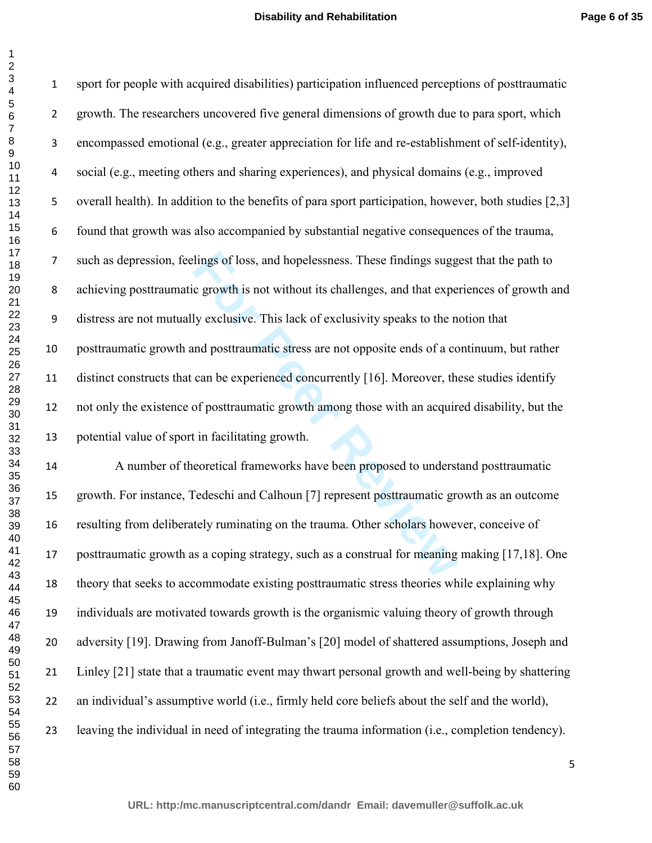$\mathbf{1}$  $\overline{2}$  $\overline{\mathbf{4}}$  $\overline{7}$  $\,8\,$ 

 

| $\epsilon$<br>$\frac{3}{4}$                             | $\mathbf 1$      | sport for people with acquired disabilities) participation influenced perceptions of posttraumatic    |
|---------------------------------------------------------|------------------|-------------------------------------------------------------------------------------------------------|
| $\begin{array}{c} 5 \\ 6 \end{array}$<br>$\overline{7}$ | $\overline{2}$   | growth. The researchers uncovered five general dimensions of growth due to para sport, which          |
| 8<br>9                                                  | $\mathbf{3}$     | encompassed emotional (e.g., greater appreciation for life and re-establishment of self-identity),    |
| 10<br>11                                                | $\overline{4}$   | social (e.g., meeting others and sharing experiences), and physical domains (e.g., improved           |
| 12<br>13<br>14                                          | 5                | overall health). In addition to the benefits of para sport participation, however, both studies [2,3] |
| 15<br>16                                                | $\boldsymbol{6}$ | found that growth was also accompanied by substantial negative consequences of the trauma,            |
| 17<br>18<br>19                                          | $\overline{7}$   | such as depression, feelings of loss, and hopelessness. These findings suggest that the path to       |
| 20<br>21                                                | 8                | achieving posttraumatic growth is not without its challenges, and that experiences of growth and      |
| 22<br>23                                                | 9                | distress are not mutually exclusive. This lack of exclusivity speaks to the notion that               |
| 24<br>25<br>26                                          | 10               | posttraumatic growth and posttraumatic stress are not opposite ends of a continuum, but rather        |
| 27<br>28                                                | 11               | distinct constructs that can be experienced concurrently [16]. Moreover, these studies identify       |
| 29<br>30<br>31                                          | 12               | not only the existence of posttraumatic growth among those with an acquired disability, but the       |
| 32<br>33                                                | 13               | potential value of sport in facilitating growth.                                                      |
| 34<br>35                                                | 14               | A number of theoretical frameworks have been proposed to understand posttraumatic                     |
| 36<br>37<br>38                                          | 15               | growth. For instance, Tedeschi and Calhoun [7] represent posttraumatic growth as an outcome           |
| 39<br>40                                                | 16               | resulting from deliberately ruminating on the trauma. Other scholars however, conceive of             |
| 41<br>42                                                | 17               | posttraumatic growth as a coping strategy, such as a construal for meaning making [17,18]. One        |
| 43<br>44<br>45                                          | 18               | theory that seeks to accommodate existing posttraumatic stress theories while explaining why          |
| 46<br>47                                                | 19               | individuals are motivated towards growth is the organismic valuing theory of growth through           |
| 48<br>49                                                | 20               | adversity [19]. Drawing from Janoff-Bulman's [20] model of shattered assumptions, Joseph and          |
| 50<br>51<br>52                                          | 21               | Linley [21] state that a traumatic event may thwart personal growth and well-being by shattering      |
| 53<br>54                                                | 22               | an individual's assumptive world (i.e., firmly held core beliefs about the self and the world),       |
| 55<br>56<br>57                                          | 23               | leaving the individual in need of integrating the trauma information (i.e., completion tendency).     |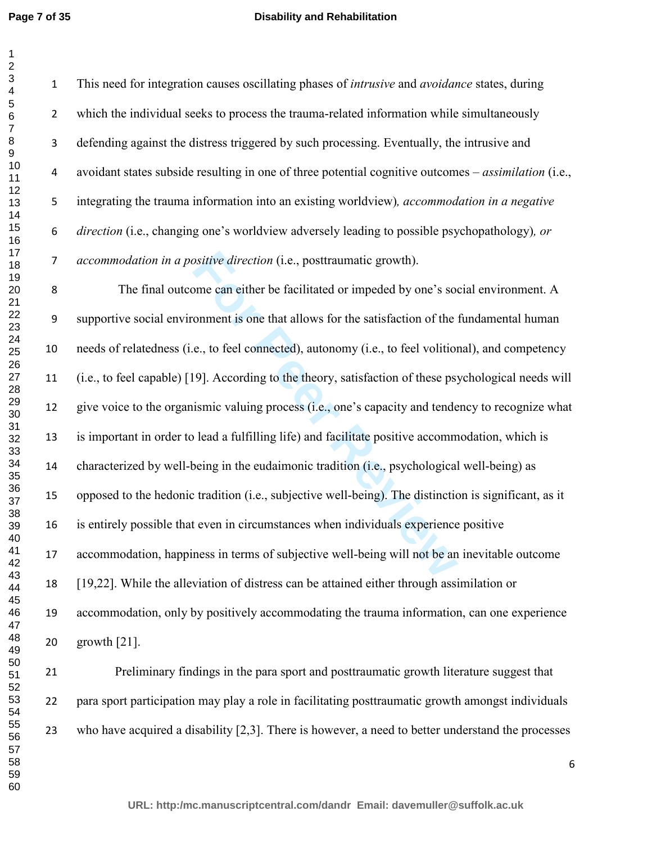$\mathbf 1$ 

#### **Disability and Rehabilitation**

This need for integration causes oscillating phases of *intrusive* and *avoidance* states, during which the individual seeks to process the trauma-related information while simultaneously defending against the distress triggered by such processing. Eventually, the intrusive and avoidant states subside resulting in one of three potential cognitive outcomes – *assimilation* (i.e., integrating the trauma information into an existing worldview)*, accommodation in a negative direction* (i.e., changing one's worldview adversely leading to possible psychopathology)*, or accommodation in a positive direction* (i.e., posttraumatic growth).

**Example 15 Solution** (i.e., posttraumatic growth).<br>
Some can either be facilitated or impeded by one's some can either be facilitated or impeded by one's somewhere.<br>
For the satisfaction of the e., to feel connected), aut The final outcome can either be facilitated or impeded by one's social environment. A supportive social environment is one that allows for the satisfaction of the fundamental human needs of relatedness (i.e., to feel connected), autonomy (i.e., to feel volitional), and competency (i.e., to feel capable) [19]. According to the theory, satisfaction of these psychological needs will give voice to the organismic valuing process (i.e., one's capacity and tendency to recognize what is important in order to lead a fulfilling life) and facilitate positive accommodation, which is characterized by well-being in the eudaimonic tradition (i.e., psychological well-being) as opposed to the hedonic tradition (i.e., subjective well-being). The distinction is significant, as it is entirely possible that even in circumstances when individuals experience positive accommodation, happiness in terms of subjective well-being will not be an inevitable outcome [19,22]. While the alleviation of distress can be attained either through assimilation or accommodation, only by positively accommodating the trauma information, can one experience growth [21].

Preliminary findings in the para sport and posttraumatic growth literature suggest that para sport participation may play a role in facilitating posttraumatic growth amongst individuals who have acquired a disability [2,3]. There is however, a need to better understand the processes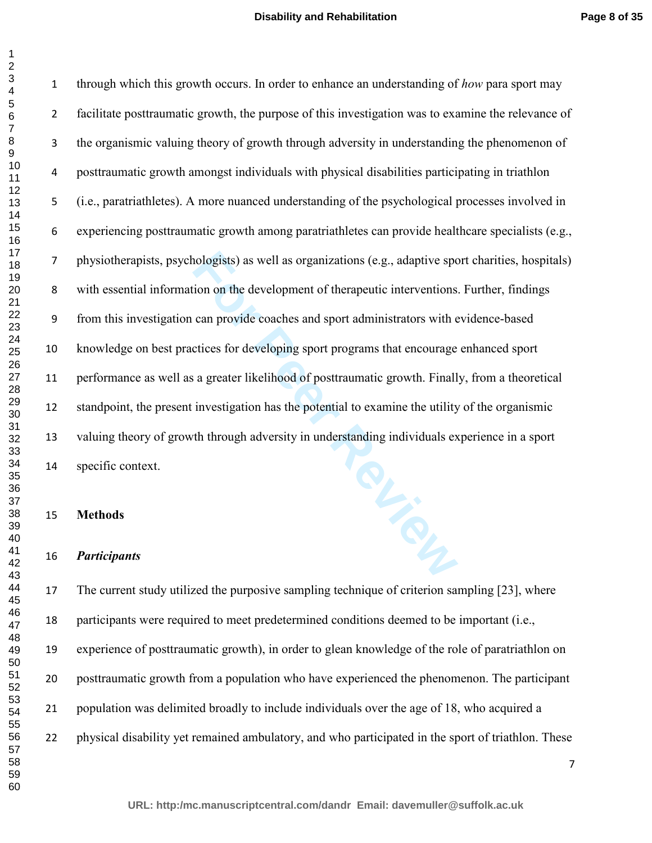$\overline{2}$ 

> through which this growth occurs. In order to enhance an understanding of *how* para sport may facilitate posttraumatic growth, the purpose of this investigation was to examine the relevance of the organismic valuing theory of growth through adversity in understanding the phenomenon of posttraumatic growth amongst individuals with physical disabilities participating in triathlon (i.e., paratriathletes). A more nuanced understanding of the psychological processes involved in experiencing posttraumatic growth among paratriathletes can provide healthcare specialists (e.g., physiotherapists, psychologists) as well as organizations (e.g., adaptive sport charities, hospitals) with essential information on the development of therapeutic interventions. Further, findings from this investigation can provide coaches and sport administrators with evidence-based knowledge on best practices for developing sport programs that encourage enhanced sport performance as well as a greater likelihood of posttraumatic growth. Finally, from a theoretical standpoint, the present investigation has the potential to examine the utility of the organismic valuing theory of growth through adversity in understanding individuals experience in a sport specific context.

#### **Methods**

#### *Participants*

The current study utilized the purposive sampling technique of criterion sampling [23], where participants were required to meet predetermined conditions deemed to be important (i.e., experience of posttraumatic growth), in order to glean knowledge of the role of paratriathlon on posttraumatic growth from a population who have experienced the phenomenon. The participant population was delimited broadly to include individuals over the age of 18, who acquired a physical disability yet remained ambulatory, and who participated in the sport of triathlon. These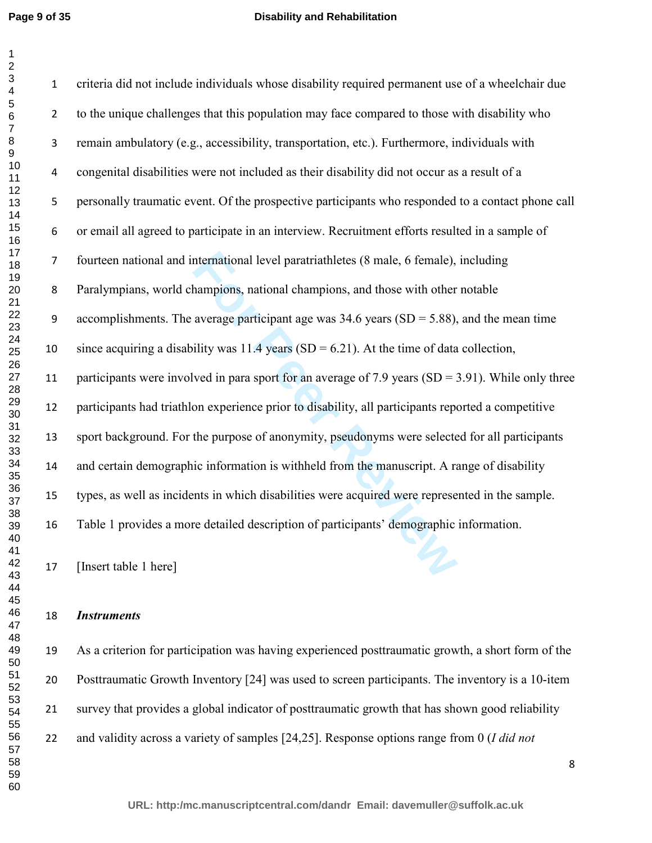**Page 9 of 35**

 $\mathbf{1}$ 

#### **Disability and Rehabilitation**

| $\mathbf{1}$   | criteria did not include individuals whose disability required permanent use of a wheelchair due       |
|----------------|--------------------------------------------------------------------------------------------------------|
| $\overline{2}$ | to the unique challenges that this population may face compared to those with disability who           |
| 3              | remain ambulatory (e.g., accessibility, transportation, etc.). Furthermore, individuals with           |
| 4              | congenital disabilities were not included as their disability did not occur as a result of a           |
| 5              | personally traumatic event. Of the prospective participants who responded to a contact phone call      |
| 6              | or email all agreed to participate in an interview. Recruitment efforts resulted in a sample of        |
| $\overline{7}$ | fourteen national and international level paratriathletes (8 male, 6 female), including                |
| 8              | Paralympians, world champions, national champions, and those with other notable                        |
| 9              | accomplishments. The average participant age was $34.6$ years (SD = 5.88), and the mean time           |
| 10             | since acquiring a disability was 11.4 years (SD = 6.21). At the time of data collection,               |
| 11             | participants were involved in para sport for an average of 7.9 years ( $SD = 3.91$ ). While only three |
| 12             | participants had triathlon experience prior to disability, all participants reported a competitive     |
| 13             | sport background. For the purpose of anonymity, pseudonyms were selected for all participants          |
| 14             | and certain demographic information is withheld from the manuscript. A range of disability             |
| 15             | types, as well as incidents in which disabilities were acquired were represented in the sample.        |
| 16             | Table 1 provides a more detailed description of participants' demographic information.                 |
| 17             | [Insert table 1 here]                                                                                  |

#### *Instruments*

As a criterion for participation was having experienced posttraumatic growth, a short form of the Posttraumatic Growth Inventory [24] was used to screen participants. The inventory is a 10-item survey that provides a global indicator of posttraumatic growth that has shown good reliability and validity across a variety of samples [24,25]. Response options range from 0 (*I did not*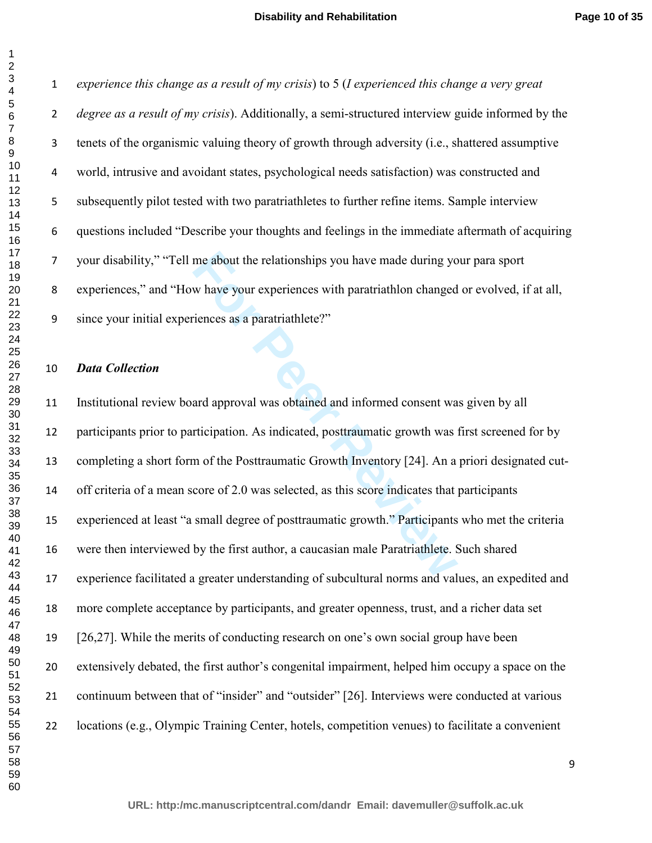*experience this change as a result of my crisis*) to 5 (*I experienced this change a very great degree as a result of my crisis*). Additionally, a semi-structured interview guide informed by the tenets of the organismic valuing theory of growth through adversity (i.e., shattered assumptive world, intrusive and avoidant states, psychological needs satisfaction) was constructed and subsequently pilot tested with two paratriathletes to further refine items. Sample interview questions included "Describe your thoughts and feelings in the immediate aftermath of acquiring your disability," "Tell me about the relationships you have made during your para sport experiences," and "How have your experiences with paratriathlon changed or evolved, if at all, since your initial experiences as a paratriathlete?"

#### *Data Collection*

me about the relationships you have made during yo<br>w have your experiences with paratriathlon changed<br>iences as a paratriathlete?"<br>are as a paratriathlete?"<br>are are approval was obtained and informed consent was<br>reviewant Institutional review board approval was obtained and informed consent was given by all participants prior to participation. As indicated, posttraumatic growth was first screened for by completing a short form of the Posttraumatic Growth Inventory [24]. An a priori designated cut-off criteria of a mean score of 2.0 was selected, as this score indicates that participants experienced at least "a small degree of posttraumatic growth." Participants who met the criteria were then interviewed by the first author, a caucasian male Paratriathlete. Such shared experience facilitated a greater understanding of subcultural norms and values, an expedited and more complete acceptance by participants, and greater openness, trust, and a richer data set [26,27]. While the merits of conducting research on one's own social group have been extensively debated, the first author's congenital impairment, helped him occupy a space on the 21 continuum between that of "insider" and "outsider" [26]. Interviews were conducted at various locations (e.g., Olympic Training Center, hotels, competition venues) to facilitate a convenient

 $\mathbf 1$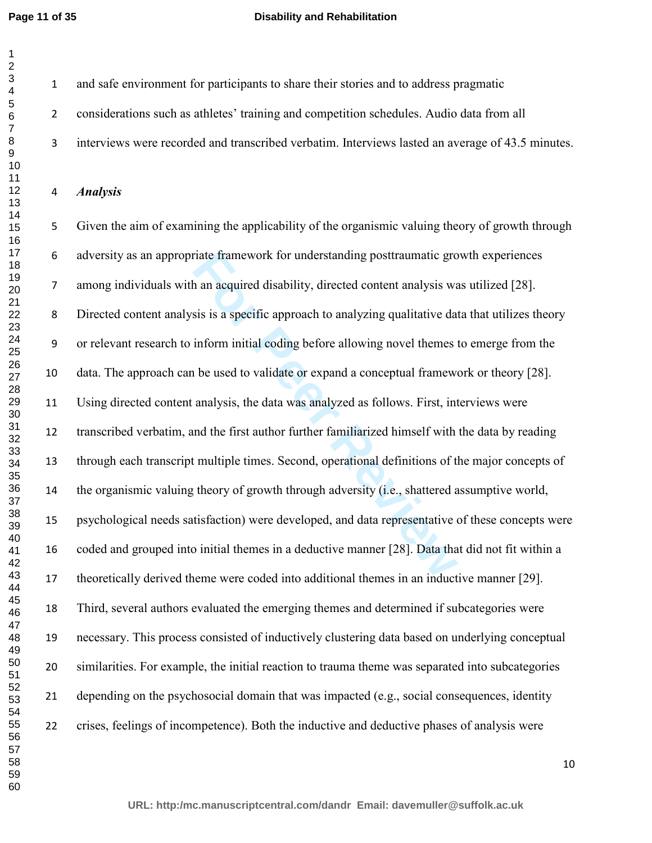**Page 11 of 35**

 $\mathbf{1}$ 

#### **Disability and Rehabilitation**

| 1                                     |
|---------------------------------------|
| 2                                     |
|                                       |
|                                       |
|                                       |
|                                       |
|                                       |
|                                       |
|                                       |
|                                       |
|                                       |
|                                       |
|                                       |
|                                       |
|                                       |
|                                       |
|                                       |
|                                       |
| 3456789111111111122222222223333333333 |
|                                       |
|                                       |
|                                       |
|                                       |
|                                       |
|                                       |
|                                       |
|                                       |
|                                       |
|                                       |
|                                       |
|                                       |
|                                       |
|                                       |
|                                       |
|                                       |
|                                       |
|                                       |
|                                       |
|                                       |
|                                       |
|                                       |
| 40                                    |
| 41                                    |
| 4:                                    |
| 4.                                    |
|                                       |
| 44                                    |
| 45                                    |
| 46                                    |
| 47                                    |
| 48                                    |
| 49                                    |
| 50                                    |
| 51                                    |
| $\frac{2}{5}$<br>$\overline{ }$       |
| 53<br>3                               |
| 54                                    |
| 55                                    |
| 56<br>ì                               |
| E<br>$\overline{\mathbf{z}}$          |
| 58                                    |
| 59                                    |
| 60                                    |
|                                       |

and safe environment for participants to share their stories and to address pragmatic considerations such as athletes' training and competition schedules. Audio data from all

interviews were recorded and transcribed verbatim. Interviews lasted an average of 43.5 minutes.

## *Analysis*

riate framework for understanding posttraumatic gro<br>an acquired disability, directed content analysis was<br>sis is a specific approach to analyzing qualitative dat<br>inform initial coding before allowing novel themes<br>1<br>be used Given the aim of examining the applicability of the organismic valuing theory of growth through adversity as an appropriate framework for understanding posttraumatic growth experiences among individuals with an acquired disability, directed content analysis was utilized [28]. Directed content analysis is a specific approach to analyzing qualitative data that utilizes theory or relevant research to inform initial coding before allowing novel themes to emerge from the data. The approach can be used to validate or expand a conceptual framework or theory [28]. Using directed content analysis, the data was analyzed as follows. First, interviews were transcribed verbatim, and the first author further familiarized himself with the data by reading through each transcript multiple times. Second, operational definitions of the major concepts of the organismic valuing theory of growth through adversity (i.e., shattered assumptive world, psychological needs satisfaction) were developed, and data representative of these concepts were coded and grouped into initial themes in a deductive manner [28]. Data that did not fit within a theoretically derived theme were coded into additional themes in an inductive manner [29]. Third, several authors evaluated the emerging themes and determined if subcategories were necessary. This process consisted of inductively clustering data based on underlying conceptual similarities. For example, the initial reaction to trauma theme was separated into subcategories depending on the psychosocial domain that was impacted (e.g., social consequences, identity crises, feelings of incompetence). Both the inductive and deductive phases of analysis were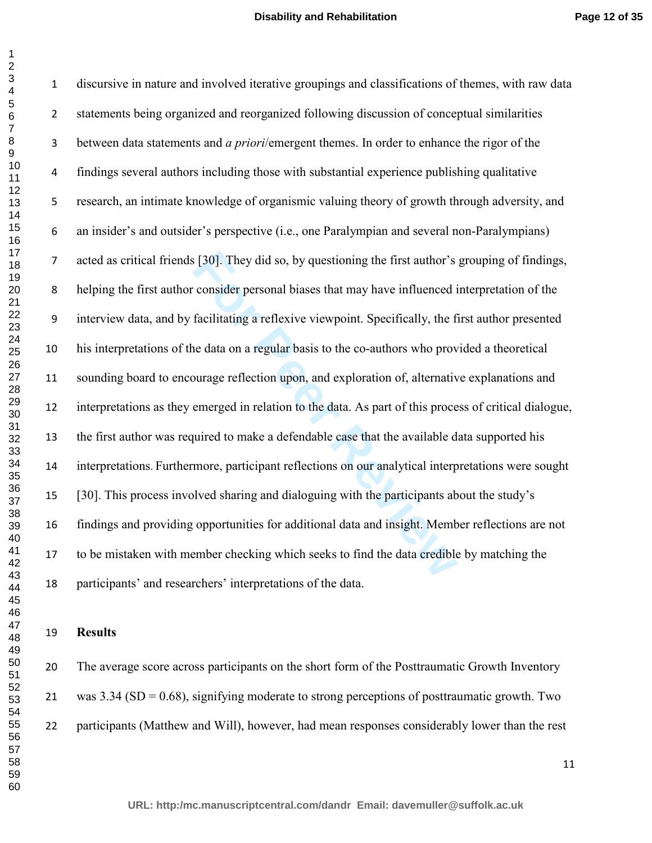| 1                 |                          |
|-------------------|--------------------------|
| <sup>2</sup>      |                          |
| S                 |                          |
| 4                 |                          |
| 5                 |                          |
| k                 |                          |
| 7                 |                          |
| Ş                 |                          |
| 9                 |                          |
|                   |                          |
|                   | 10                       |
| 1                 | 1                        |
| $\frac{12}{13}$   | $\overline{\phantom{a}}$ |
|                   |                          |
|                   | 3<br>14<br>15<br>1       |
|                   |                          |
| 16                |                          |
| 1                 | 7                        |
|                   | 18                       |
|                   | 19                       |
|                   | 20                       |
|                   |                          |
|                   |                          |
| 21<br>22<br>23    |                          |
|                   |                          |
|                   |                          |
|                   |                          |
|                   |                          |
|                   |                          |
|                   |                          |
|                   |                          |
|                   |                          |
|                   |                          |
|                   |                          |
|                   |                          |
|                   |                          |
|                   |                          |
|                   |                          |
|                   |                          |
|                   |                          |
|                   | 39                       |
|                   | 40                       |
| 41                |                          |
| 42                |                          |
| $4\overset{'}{.}$ | Š                        |
| 44                |                          |
| 45                |                          |
|                   |                          |
| 46                |                          |
| 47                |                          |
| 48                |                          |
|                   | 49                       |
|                   | 50                       |
| ļ                 | $\mathbf{51}$            |
|                   | 52                       |
| 53                | ξ                        |
|                   | 54                       |
| 55                |                          |
| 56                | ì                        |
| 57                |                          |
| 58                | 3                        |
|                   | 59                       |
|                   |                          |
|                   | 60                       |

 $\mathbf 1$ 

**Fournal EXEC SET All SO, by questioning the first author's** consider personal biases that may have influenced if acilitating a reflexive viewpoint. Specifically, the five data on a regular basis to the co-authors who prov discursive in nature and involved iterative groupings and classifications of themes, with raw data statements being organized and reorganized following discussion of conceptual similarities between data statements and *a priori*/emergent themes. In order to enhance the rigor of the findings several authors including those with substantial experience publishing qualitative research, an intimate knowledge of organismic valuing theory of growth through adversity, and an insider's and outsider's perspective (i.e., one Paralympian and several non-Paralympians) acted as critical friends [30]. They did so, by questioning the first author's grouping of findings, helping the first author consider personal biases that may have influenced interpretation of the interview data, and by facilitating a reflexive viewpoint. Specifically, the first author presented his interpretations of the data on a regular basis to the co-authors who provided a theoretical sounding board to encourage reflection upon, and exploration of, alternative explanations and interpretations as they emerged in relation to the data. As part of this process of critical dialogue, the first author was required to make a defendable case that the available data supported his interpretations. Furthermore, participant reflections on our analytical interpretations were sought [30]. This process involved sharing and dialoguing with the participants about the study's findings and providing opportunities for additional data and insight. Member reflections are not to be mistaken with member checking which seeks to find the data credible by matching the participants' and researchers' interpretations of the data.

### **Results**

The average score across participants on the short form of the Posttraumatic Growth Inventory was 3.34 (SD = 0.68), signifying moderate to strong perceptions of posttraumatic growth. Two participants (Matthew and Will), however, had mean responses considerably lower than the rest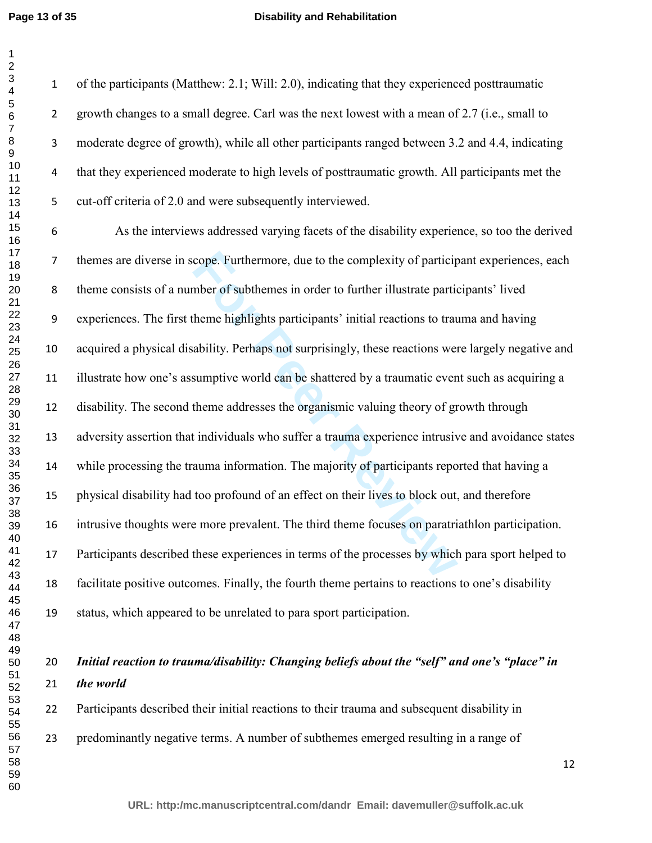$\mathbf{1}$ 

#### **Disability and Rehabilitation**

| 1                                                 |
|---------------------------------------------------|
| 2                                                 |
| 3                                                 |
| 4                                                 |
|                                                   |
| 5                                                 |
| 6                                                 |
|                                                   |
| Ş                                                 |
| 9                                                 |
| 10                                                |
| $\overline{\mathbf{1}}$<br>1                      |
| 1                                                 |
| $\overline{\phantom{a}}$<br>12<br>13              |
| 13<br>14<br>*                                     |
|                                                   |
| 15<br>5                                           |
| 16                                                |
| 1<br>$\overline{7}$                               |
| 18                                                |
| $\frac{19}{19}$                                   |
| 20                                                |
|                                                   |
| J 2 2 2 3 4 5 6 7 8 9 9 0 3 1 4 5 6 7 8 9 9 0 3 1 |
|                                                   |
|                                                   |
|                                                   |
|                                                   |
|                                                   |
|                                                   |
|                                                   |
|                                                   |
|                                                   |
|                                                   |
| $\overline{\mathbf{3}}$                           |
| $\mathbf{S}$                                      |
| 33<br>34<br>35                                    |
|                                                   |
|                                                   |
|                                                   |
| 36<br>37<br>38                                    |
|                                                   |
|                                                   |
| 39                                                |
| 40                                                |
| 41                                                |
| 42                                                |
| $4^{\circ}$<br>Š                                  |
| 44                                                |
| 45                                                |
| 46                                                |
|                                                   |
| 47                                                |
| 48                                                |
| 49                                                |
| 50                                                |
| $\mathbf{51}$<br>ŗ                                |
| ć<br>52                                           |
| 53<br>3                                           |
|                                                   |
| 54                                                |
| 55                                                |
| 56<br>ì                                           |
| 57                                                |
| 58<br>ξ                                           |
| 59                                                |
| 60                                                |
|                                                   |

of the participants (Matthew: 2.1; Will: 2.0), indicating that they experienced posttraumatic growth changes to a small degree. Carl was the next lowest with a mean of 2.7 (i.e., small to moderate degree of growth), while all other participants ranged between 3.2 and 4.4, indicating that they experienced moderate to high levels of posttraumatic growth. All participants met the cut-off criteria of 2.0 and were subsequently interviewed.

cope. Furthermore, due to the complexity of particip<br>mber of subthemes in order to further illustrate partic<br>heme highlights participants' initial reactions to trat<br>ability. Perhaps not surprisingly, these reactions were<br>s As the interviews addressed varying facets of the disability experience, so too the derived themes are diverse in scope. Furthermore, due to the complexity of participant experiences, each theme consists of a number of subthemes in order to further illustrate participants' lived experiences. The first theme highlights participants' initial reactions to trauma and having acquired a physical disability. Perhaps not surprisingly, these reactions were largely negative and illustrate how one's assumptive world can be shattered by a traumatic event such as acquiring a disability. The second theme addresses the organismic valuing theory of growth through adversity assertion that individuals who suffer a trauma experience intrusive and avoidance states while processing the trauma information. The majority of participants reported that having a physical disability had too profound of an effect on their lives to block out, and therefore intrusive thoughts were more prevalent. The third theme focuses on paratriathlon participation. Participants described these experiences in terms of the processes by which para sport helped to facilitate positive outcomes. Finally, the fourth theme pertains to reactions to one's disability status, which appeared to be unrelated to para sport participation.

# *Initial reaction to trauma/disability: Changing beliefs about the "self" and one's "place" in the world*

Participants described their initial reactions to their trauma and subsequent disability in predominantly negative terms. A number of subthemes emerged resulting in a range of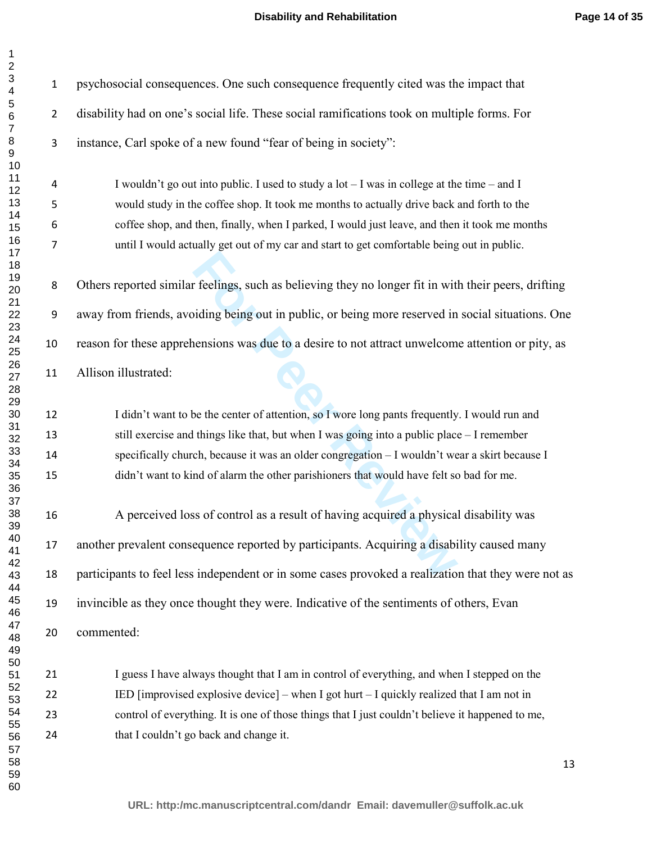#### **Disability and Rehabilitation**

 $\mathbf{1}$  $\overline{2}$ 

**Follings**, such as believing they no longer fit in with vididing being out in public, or being more reserved in nensions was due to a desire to not attract unwelcom be the center of attention, so I wore long pants frequen psychosocial consequences. One such consequence frequently cited was the impact that disability had on one's social life. These social ramifications took on multiple forms. For instance, Carl spoke of a new found "fear of being in society": 4 I wouldn't go out into public. I used to study a  $\text{lot} - \text{I}$  was in college at the time – and I would study in the coffee shop. It took me months to actually drive back and forth to the coffee shop, and then, finally, when I parked, I would just leave, and then it took me months until I would actually get out of my car and start to get comfortable being out in public. Others reported similar feelings, such as believing they no longer fit in with their peers, drifting away from friends, avoiding being out in public, or being more reserved in social situations. One reason for these apprehensions was due to a desire to not attract unwelcome attention or pity, as Allison illustrated: 12 I didn't want to be the center of attention, so I wore long pants frequently. I would run and still exercise and things like that, but when I was going into a public place – I remember specifically church, because it was an older congregation – I wouldn't wear a skirt because I didn't want to kind of alarm the other parishioners that would have felt so bad for me. A perceived loss of control as a result of having acquired a physical disability was another prevalent consequence reported by participants. Acquiring a disability caused many participants to feel less independent or in some cases provoked a realization that they were not as invincible as they once thought they were. Indicative of the sentiments of others, Evan commented: I guess I have always thought that I am in control of everything, and when I stepped on the IED [improvised explosive device] – when I got hurt – I quickly realized that I am not in control of everything. It is one of those things that I just couldn't believe it happened to me, that I couldn't go back and change it.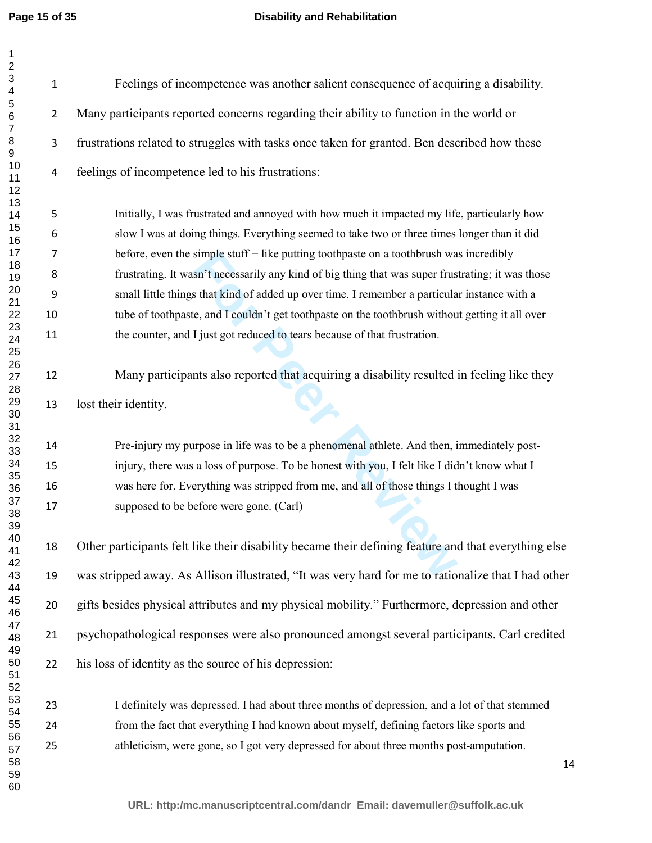$\mathbf{1}$  $\overline{2}$  $\overline{\mathbf{4}}$  $\overline{7}$  $\,8\,$ 

#### **Disability and Rehabilitation**

| 3<br>4             | $\mathbf{1}$   | Feelings of incompetence was another salient consequence of acquiring a disability.                  |
|--------------------|----------------|------------------------------------------------------------------------------------------------------|
| 5<br>$\,6$         | $\overline{2}$ | Many participants reported concerns regarding their ability to function in the world or              |
| 7<br>8<br>9        | 3              | frustrations related to struggles with tasks once taken for granted. Ben described how these         |
| 10<br>11<br>12     | 4              | feelings of incompetence led to his frustrations:                                                    |
| 13<br>14           | 5              | Initially, I was frustrated and annoyed with how much it impacted my life, particularly how          |
| 15<br>16           | 6              | slow I was at doing things. Everything seemed to take two or three times longer than it did          |
| 17                 | 7              | before, even the simple stuff $-$ like putting toothpaste on a toothbrush was incredibly             |
| 18<br>19           | 8              | frustrating. It wasn't necessarily any kind of big thing that was super frustrating; it was those    |
| 20                 | 9              | small little things that kind of added up over time. I remember a particular instance with a         |
| 21<br>22           | 10             | tube of toothpaste, and I couldn't get toothpaste on the toothbrush without getting it all over      |
| 23<br>24<br>25     | $11\,$         | the counter, and I just got reduced to tears because of that frustration.                            |
| 26<br>27<br>28     | 12             | Many participants also reported that acquiring a disability resulted in feeling like they            |
| 29<br>$30\,$<br>31 | 13             | lost their identity.                                                                                 |
| 32<br>33           | 14             | Pre-injury my purpose in life was to be a phenomenal athlete. And then, immediately post-            |
| 34                 | 15             | injury, there was a loss of purpose. To be honest with you, I felt like I didn't know what I         |
| 35<br>36           | 16             | was here for. Everything was stripped from me, and all of those things I thought I was               |
| 37<br>38<br>39     | 17             | supposed to be before were gone. (Carl)                                                              |
| 40<br>41<br>42     | 18             | Other participants felt like their disability became their defining feature and that everything else |
| 43<br>44           | 19             | was stripped away. As Allison illustrated, "It was very hard for me to rationalize that I had other  |
| 45<br>46           | 20             | gifts besides physical attributes and my physical mobility." Furthermore, depression and other       |
| 47<br>48<br>49     | 21             | psychopathological responses were also pronounced amongst several participants. Carl credited        |
| 50<br>51<br>52     | 22             | his loss of identity as the source of his depression:                                                |
| 53<br>54           | 23             | I definitely was depressed. I had about three months of depression, and a lot of that stemmed        |
| 55                 | 24             | from the fact that everything I had known about myself, defining factors like sports and             |
| 56<br>57           | 25             | athleticism, were gone, so I got very depressed for about three months post-amputation.              |
| 58<br>59           |                | 14                                                                                                   |

**URL: http:/mc.manuscriptcentral.com/dandr Email: davemuller@suffolk.ac.uk**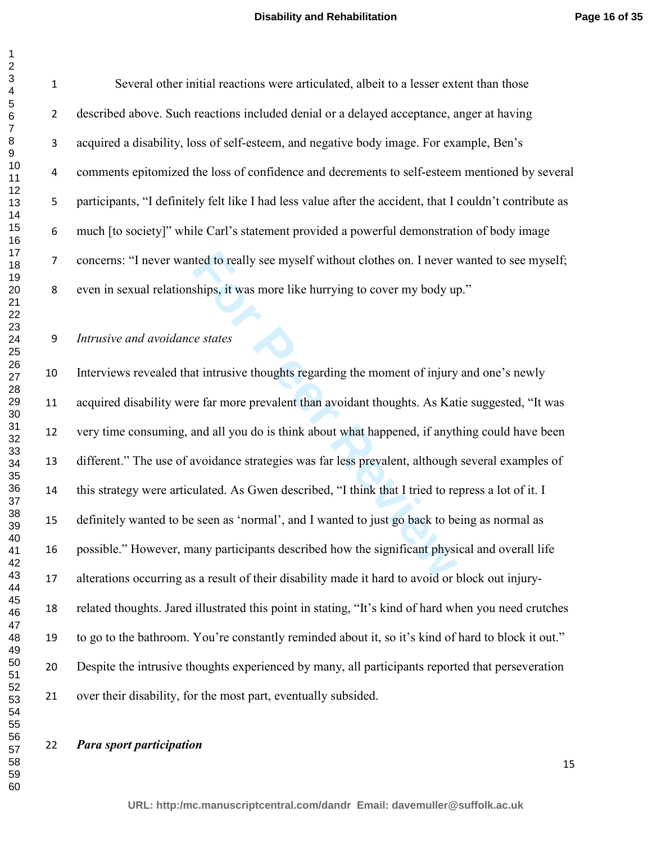$\mathbf{1}$ 

Several other initial reactions were articulated, albeit to a lesser extent than those described above. Such reactions included denial or a delayed acceptance, anger at having acquired a disability, loss of self-esteem, and negative body image. For example, Ben's comments epitomized the loss of confidence and decrements to self-esteem mentioned by several participants, "I definitely felt like I had less value after the accident, that I couldn't contribute as much [to society]" while Carl's statement provided a powerful demonstration of body image concerns: "I never wanted to really see myself without clothes on. I never wanted to see myself; even in sexual relationships, it was more like hurrying to cover my body up."

*Intrusive and avoidance states* 

It is the reality see myself without clothes on. I never v<br>ships, it was more like hurrying to cover my body up<br>the states<br>at intrusive thoughts regarding the moment of injury<br>re far more prevalent than avoidant thoughts. Interviews revealed that intrusive thoughts regarding the moment of injury and one's newly acquired disability were far more prevalent than avoidant thoughts. As Katie suggested, "It was very time consuming, and all you do is think about what happened, if anything could have been different." The use of avoidance strategies was far less prevalent, although several examples of this strategy were articulated. As Gwen described, "I think that I tried to repress a lot of it. I definitely wanted to be seen as 'normal', and I wanted to just go back to being as normal as possible." However, many participants described how the significant physical and overall life alterations occurring as a result of their disability made it hard to avoid or block out injury-related thoughts. Jared illustrated this point in stating, "It's kind of hard when you need crutches to go to the bathroom. You're constantly reminded about it, so it's kind of hard to block it out." Despite the intrusive thoughts experienced by many, all participants reported that perseveration over their disability, for the most part, eventually subsided.

#### *Para sport participation*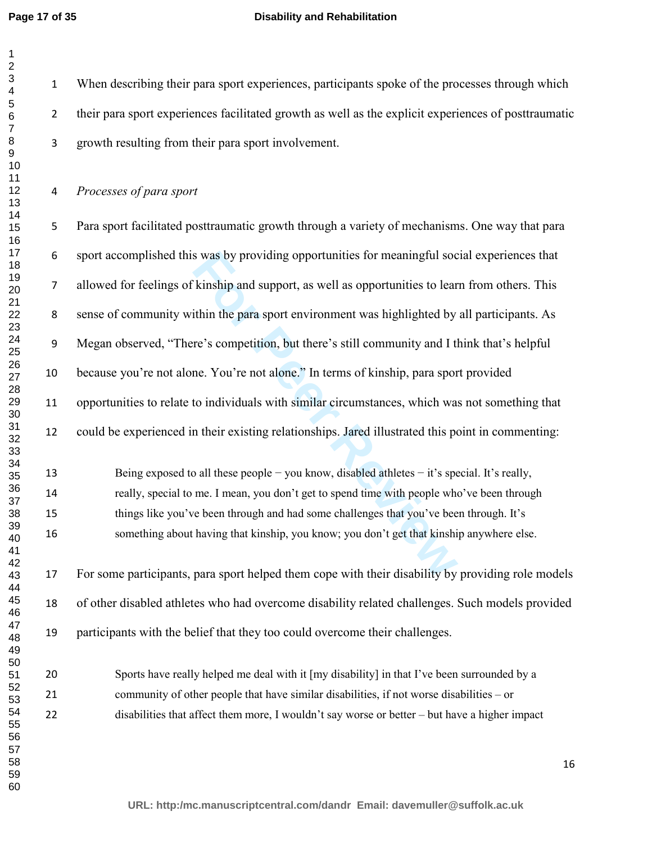#### **Disability and Rehabilitation**

| 1<br>$\overline{c}$ |                |              |
|---------------------|----------------|--------------|
| 3<br>4              | $\mathbf{1}$   |              |
| 5<br>6              | $\overline{2}$ | ť            |
| 7<br>8<br>9         | 3              | g            |
| 10<br>11<br>12      | 4              | I            |
| 13<br>14<br>15      | 5              | F            |
| 16<br>17<br>18      | 6              | S            |
| 19<br>20            | 7              | a            |
| 21<br>22            | 8              | S            |
| 23<br>24            | 9              | $\mathbf{N}$ |
| 25<br>26            | 10             | b            |
| 27<br>28<br>29      | 11             | $\mathbf C$  |
| 30<br>31            |                |              |
| 32<br>33            | 12             | $\mathbf c$  |
| 34<br>35            | 13             |              |
| 36<br>37            | 14             |              |
| 38                  | 15             |              |
| 39<br>40            | 16             |              |
| 41<br>42            | 17             | F            |
| 43<br>44<br>45      |                |              |
| 46<br>47            | 18             | $\mathbf C$  |
| 48<br>49            | 19             | p            |
| 50<br>51            | 20             |              |
| 52<br>53            | 21             |              |
| 54<br>55            | 22             |              |
| 56<br>57            |                |              |
| 58<br>59            |                |              |
| 60                  |                |              |

When describing their para sport experiences, participants spoke of the processes through which their para sport experiences facilitated growth as well as the explicit experiences of posttraumatic growth resulting from their para sport involvement.

*Processes of para sport* 

s was by providing opportunities for meaningful socknowled Kinship and support, as well as opportunities to lear ithin the para sport environment was highlighted by re's competition, but there's still community and I then Para sport facilitated posttraumatic growth through a variety of mechanisms. One way that para sport accomplished this was by providing opportunities for meaningful social experiences that allowed for feelings of kinship and support, as well as opportunities to learn from others. This sense of community within the para sport environment was highlighted by all participants. As Megan observed, "There's competition, but there's still community and I think that's helpful because you're not alone. You're not alone." In terms of kinship, para sport provided opportunities to relate to individuals with similar circumstances, which was not something that could be experienced in their existing relationships. Jared illustrated this point in commenting:

Being exposed to all these people − you know, disabled athletes − it's special. It's really, really, special to me. I mean, you don't get to spend time with people who've been through things like you've been through and had some challenges that you've been through. It's something about having that kinship, you know; you don't get that kinship anywhere else.

For some participants, para sport helped them cope with their disability by providing role models of other disabled athletes who had overcome disability related challenges. Such models provided participants with the belief that they too could overcome their challenges.

Sports have really helped me deal with it  $[my]$  disability] in that I've been surrounded by a community of other people that have similar disabilities, if not worse disabilities – or disabilities that affect them more, I wouldn't say worse or better – but have a higher impact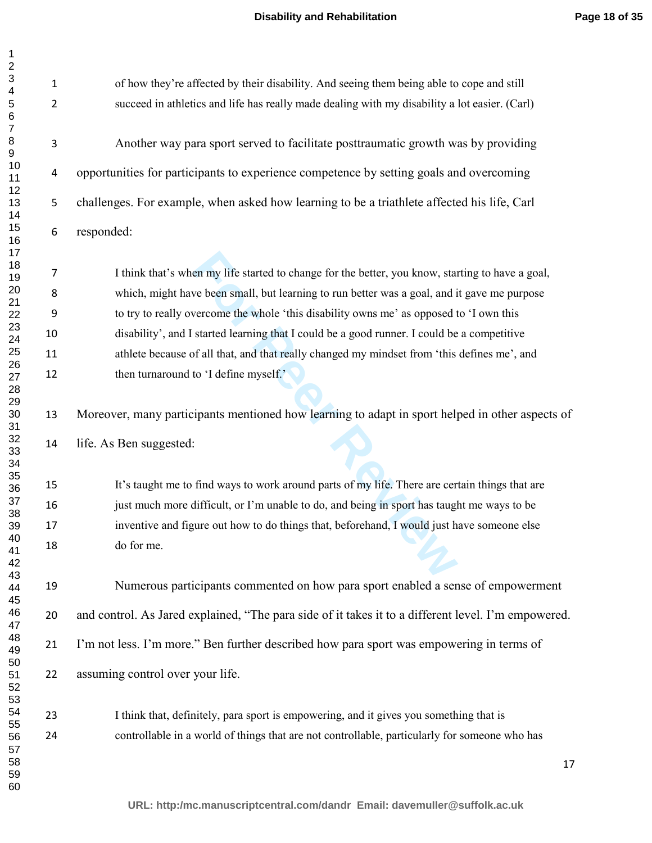$\mathbf{1}$  $\overline{2}$  $\overline{\mathbf{4}}$  $\overline{7}$  $\,8\,$  $\boldsymbol{9}$ 

| $\mathbf 1$<br>$\overline{2}$ | of how they're affected by their disability. And seeing them being able to cope and still<br>succeed in athletics and life has really made dealing with my disability a lot easier. (Carl) |
|-------------------------------|--------------------------------------------------------------------------------------------------------------------------------------------------------------------------------------------|
| 3                             | Another way para sport served to facilitate posttraumatic growth was by providing                                                                                                          |
| 4                             | opportunities for participants to experience competence by setting goals and overcoming                                                                                                    |
| 5                             | challenges. For example, when asked how learning to be a triathlete affected his life, Carl                                                                                                |
| 6                             | responded:                                                                                                                                                                                 |
|                               |                                                                                                                                                                                            |
| $\overline{7}$                | I think that's when my life started to change for the better, you know, starting to have a goal,                                                                                           |
| 8                             | which, might have been small, but learning to run better was a goal, and it gave me purpose                                                                                                |
| 9                             | to try to really overcome the whole 'this disability owns me' as opposed to 'I own this                                                                                                    |
| 10                            | disability', and I started learning that I could be a good runner. I could be a competitive                                                                                                |
| 11                            | athlete because of all that, and that really changed my mindset from 'this defines me', and                                                                                                |
| 12                            | then turnaround to 'I define myself.'                                                                                                                                                      |
| 13                            | Moreover, many participants mentioned how learning to adapt in sport helped in other aspects of                                                                                            |
| 14                            | life. As Ben suggested:                                                                                                                                                                    |
| 15                            | It's taught me to find ways to work around parts of my life. There are certain things that are                                                                                             |
| 16                            | just much more difficult, or I'm unable to do, and being in sport has taught me ways to be                                                                                                 |
| 17                            | inventive and figure out how to do things that, beforehand, I would just have someone else                                                                                                 |
| 18                            | do for me.                                                                                                                                                                                 |
|                               |                                                                                                                                                                                            |
| 19                            | Numerous participants commented on how para sport enabled a sense of empowerment                                                                                                           |
| 20                            | and control. As Jared explained, "The para side of it takes it to a different level. I'm empowered.                                                                                        |
| 21                            | I'm not less. I'm more." Ben further described how para sport was empowering in terms of                                                                                                   |
| 22                            | assuming control over your life.                                                                                                                                                           |
| 23                            | I think that, definitely, para sport is empowering, and it gives you something that is                                                                                                     |
| 24                            | controllable in a world of things that are not controllable, particularly for someone who has                                                                                              |
|                               |                                                                                                                                                                                            |
|                               | 17                                                                                                                                                                                         |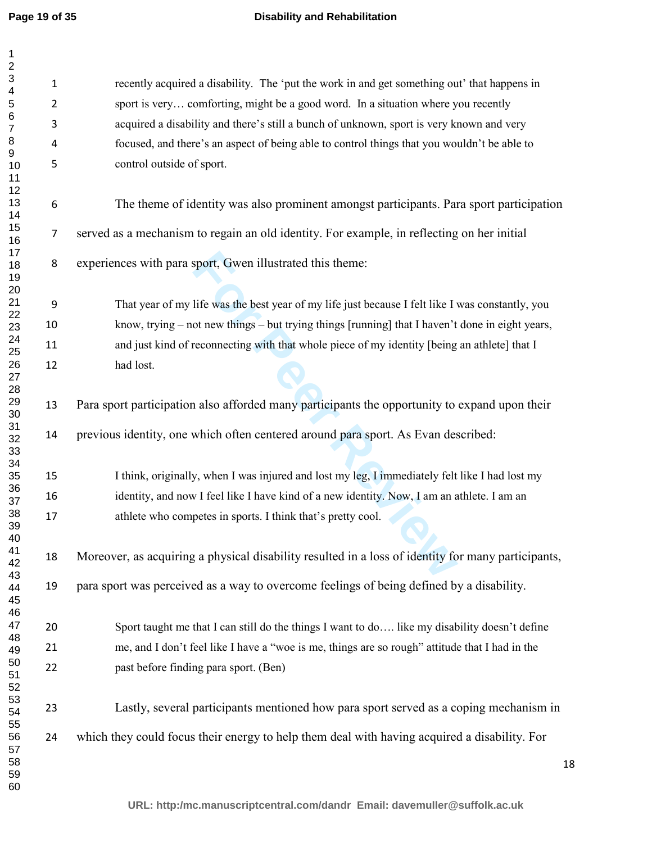**Page 19 of 35**

 $\mathbf{1}$ 

# **Disability and Rehabilitation**

| 1                    |                |                                                                                                    |
|----------------------|----------------|----------------------------------------------------------------------------------------------------|
| 2<br>3               |                | recently acquired a disability. The 'put the work in and get something out' that happens in        |
| 4                    | $\mathbf{1}$   |                                                                                                    |
| 5                    | 2              | sport is very comforting, might be a good word. In a situation where you recently                  |
| 6<br>7               | 3              | acquired a disability and there's still a bunch of unknown, sport is very known and very           |
| 8<br>9               | 4              | focused, and there's an aspect of being able to control things that you wouldn't be able to        |
| 10                   | 5              | control outside of sport.                                                                          |
| 11                   |                |                                                                                                    |
| 12                   |                |                                                                                                    |
| 13                   | 6              | The theme of identity was also prominent amongst participants. Para sport participation            |
| 14<br>15             |                |                                                                                                    |
| 16                   | $\overline{7}$ | served as a mechanism to regain an old identity. For example, in reflecting on her initial         |
| 17                   |                | experiences with para sport, Gwen illustrated this theme:                                          |
| 18<br>19             | 8              |                                                                                                    |
| 20                   |                |                                                                                                    |
| 21                   | 9              | That year of my life was the best year of my life just because I felt like I was constantly, you   |
| 22<br>23             | 10             | know, trying – not new things – but trying things [running] that I haven't done in eight years,    |
|                      | 11             | and just kind of reconnecting with that whole piece of my identity [being an athlete] that I       |
| 24<br>25             |                |                                                                                                    |
| 26<br>27             | 12             | had lost.                                                                                          |
| 28                   |                |                                                                                                    |
| 29                   | 13             | Para sport participation also afforded many participants the opportunity to expand upon their      |
| 30<br>31             |                |                                                                                                    |
| 32                   | 14             | previous identity, one which often centered around para sport. As Evan described:                  |
| 33                   |                |                                                                                                    |
| 34<br>35             | 15             | I think, originally, when I was injured and lost my leg, I immediately felt like I had lost my     |
| 36                   |                |                                                                                                    |
| 37                   | 16             | identity, and now I feel like I have kind of a new identity. Now, I am an athlete. I am an         |
| 38<br>39             | 17             | athlete who competes in sports. I think that's pretty cool.                                        |
| 40                   |                |                                                                                                    |
| 41                   | 18             | Moreover, as acquiring a physical disability resulted in a loss of identity for many participants, |
| 42<br>43             |                |                                                                                                    |
| 44                   | 19             | para sport was perceived as a way to overcome feelings of being defined by a disability.           |
| 45                   |                |                                                                                                    |
| 46<br>47             |                |                                                                                                    |
| 48                   | 20             | Sport taught me that I can still do the things I want to do like my disability doesn't define      |
| 49                   | 21             | me, and I don't feel like I have a "woe is me, things are so rough" attitude that I had in the     |
| 50<br>51<br>52<br>53 | 22             | past before finding para sport. (Ben)                                                              |
|                      |                |                                                                                                    |
|                      | 23             | Lastly, several participants mentioned how para sport served as a coping mechanism in              |
| 54<br>55             |                |                                                                                                    |
| 56                   | 24             | which they could focus their energy to help them deal with having acquired a disability. For       |
| 57                   |                |                                                                                                    |
| 58<br>59             |                | 18                                                                                                 |
| 60                   |                |                                                                                                    |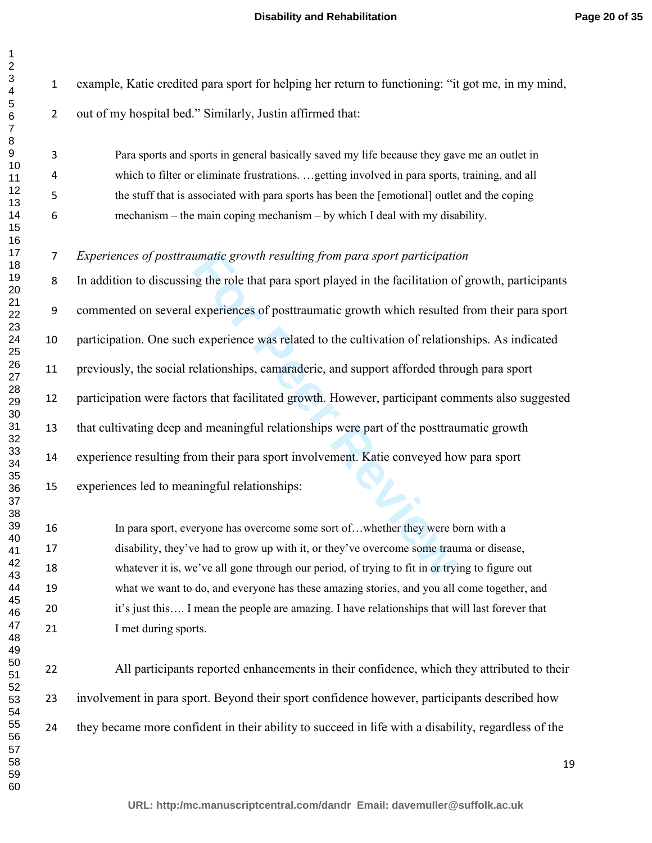$\mathbf{1}$ 

example, Katie credited para sport for helping her return to functioning: "it got me, in my mind,

out of my hospital bed." Similarly, Justin affirmed that:

Para sports and sports in general basically saved my life because they gave me an outlet in which to filter or eliminate frustrations. …getting involved in para sports, training, and all the stuff that is associated with para sports has been the [emotional] outlet and the coping mechanism – the main coping mechanism – by which I deal with my disability.

# *Experiences of posttraumatic growth resulting from para sport participation*

*Example 1 Form para sport participation* generally the role that para sport played in the facilitation of experiences of posttraumatic growth which resulted a experience was related to the cultivation of relation elatio In addition to discussing the role that para sport played in the facilitation of growth, participants commented on several experiences of posttraumatic growth which resulted from their para sport participation. One such experience was related to the cultivation of relationships. As indicated previously, the social relationships, camaraderie, and support afforded through para sport participation were factors that facilitated growth. However, participant comments also suggested that cultivating deep and meaningful relationships were part of the posttraumatic growth experience resulting from their para sport involvement. Katie conveyed how para sport experiences led to meaningful relationships:

In para sport, everyone has overcome some sort of…whether they were born with a disability, they've had to grow up with it, or they've overcome some trauma or disease, whatever it is, we've all gone through our period, of trying to fit in or trying to figure out what we want to do, and everyone has these amazing stories, and you all come together, and it's just this…. I mean the people are amazing. I have relationships that will last forever that 21 I met during sports.

All participants reported enhancements in their confidence, which they attributed to their involvement in para sport. Beyond their sport confidence however, participants described how they became more confident in their ability to succeed in life with a disability, regardless of the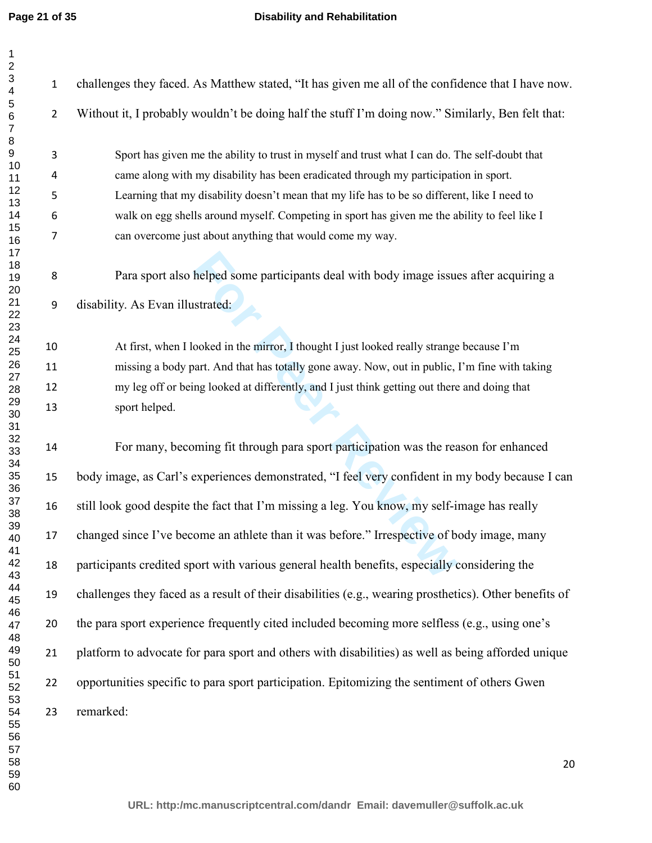#### **Page 21 of 35**

 $\mathbf{1}$  $\overline{2}$  $\overline{\mathbf{4}}$  $\overline{7}$  $\,8\,$ 

 

# **Disability and Rehabilitation**

| $\mathbf{z}$                      |                  |                                                                                                        |
|-----------------------------------|------------------|--------------------------------------------------------------------------------------------------------|
| 3<br>$\overline{\mathcal{A}}$     | $\mathbf{1}$     | challenges they faced. As Matthew stated, "It has given me all of the confidence that I have now.      |
| 5<br>6<br>$\overline{\mathbf{7}}$ | 2                | Without it, I probably wouldn't be doing half the stuff I'm doing now." Similarly, Ben felt that:      |
| $\bf 8$<br>9<br>10                | 3                | Sport has given me the ability to trust in myself and trust what I can do. The self-doubt that         |
| 11                                | 4                | came along with my disability has been eradicated through my participation in sport.                   |
| 12<br>13                          | 5                | Learning that my disability doesn't mean that my life has to be so different, like I need to           |
| 14                                | 6                | walk on egg shells around myself. Competing in sport has given me the ability to feel like I           |
| 15<br>16<br>17                    | 7                | can overcome just about anything that would come my way.                                               |
| 18<br>19<br>20                    | 8                | Para sport also helped some participants deal with body image issues after acquiring a                 |
| 21<br>22<br>23                    | $\boldsymbol{9}$ | disability. As Evan illustrated:                                                                       |
| 24<br>25                          | 10               | At first, when I looked in the mirror, I thought I just looked really strange because I'm              |
| 26                                | 11               | missing a body part. And that has totally gone away. Now, out in public, I'm fine with taking          |
| 27<br>28                          | 12               | my leg off or being looked at differently, and I just think getting out there and doing that           |
| 29<br>30<br>31                    | 13               | sport helped.                                                                                          |
| 32<br>33<br>34                    | 14               | For many, becoming fit through para sport participation was the reason for enhanced                    |
| 35<br>36                          | 15               | body image, as Carl's experiences demonstrated, "I feel very confident in my body because I can        |
| 37<br>38<br>39                    | 16               | still look good despite the fact that I'm missing a leg. You know, my self-image has really            |
| 40<br>41                          | 17               | changed since I've become an athlete than it was before." Irrespective of body image, many             |
| 42<br>43                          | 18               | participants credited sport with various general health benefits, especially considering the           |
| 44<br>45<br>46                    | 19               | challenges they faced as a result of their disabilities (e.g., wearing prosthetics). Other benefits of |
| 47<br>48                          | 20               | the para sport experience frequently cited included becoming more selfless (e.g., using one's          |
| 49<br>50<br>51                    | 21               | platform to advocate for para sport and others with disabilities) as well as being afforded unique     |
| 52<br>53                          | 22               | opportunities specific to para sport participation. Epitomizing the sentiment of others Gwen           |
| 54<br>55<br>56<br>57              | 23               | remarked:                                                                                              |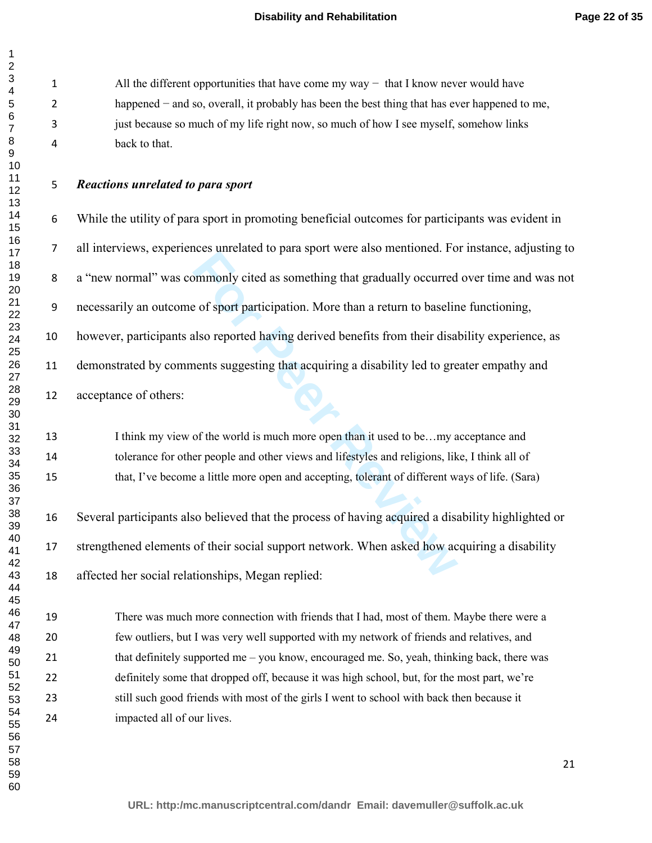All the different opportunities that have come my way − that I know never would have happened − and so, overall, it probably has been the best thing that has ever happened to me, just because so much of my life right now, so much of how I see myself, somehow links back to that.

### *Reactions unrelated to para sport*

**Example 10** Final Sport were also included: The symmonly cited as something that gradually occurred<br>
a of sport participation. More than a return to baseling<br>
also reported having derived benefits from their disal<br>
ents s While the utility of para sport in promoting beneficial outcomes for participants was evident in all interviews, experiences unrelated to para sport were also mentioned. For instance, adjusting to a "new normal" was commonly cited as something that gradually occurred over time and was not necessarily an outcome of sport participation. More than a return to baseline functioning, however, participants also reported having derived benefits from their disability experience, as demonstrated by comments suggesting that acquiring a disability led to greater empathy and acceptance of others:

13 I think my view of the world is much more open than it used to be…my acceptance and tolerance for other people and other views and lifestyles and religions, like, I think all of that, I've become a little more open and accepting, tolerant of different ways of life. (Sara)

Several participants also believed that the process of having acquired a disability highlighted or strengthened elements of their social support network. When asked how acquiring a disability affected her social relationships, Megan replied:

There was much more connection with friends that I had, most of them. Maybe there were a few outliers, but I was very well supported with my network of friends and relatives, and that definitely supported me – you know, encouraged me. So, yeah, thinking back, there was definitely some that dropped off, because it was high school, but, for the most part, we're still such good friends with most of the girls I went to school with back then because it impacted all of our lives.

 $\mathbf{1}$  $\overline{2}$  $\overline{\mathbf{4}}$  $\overline{7}$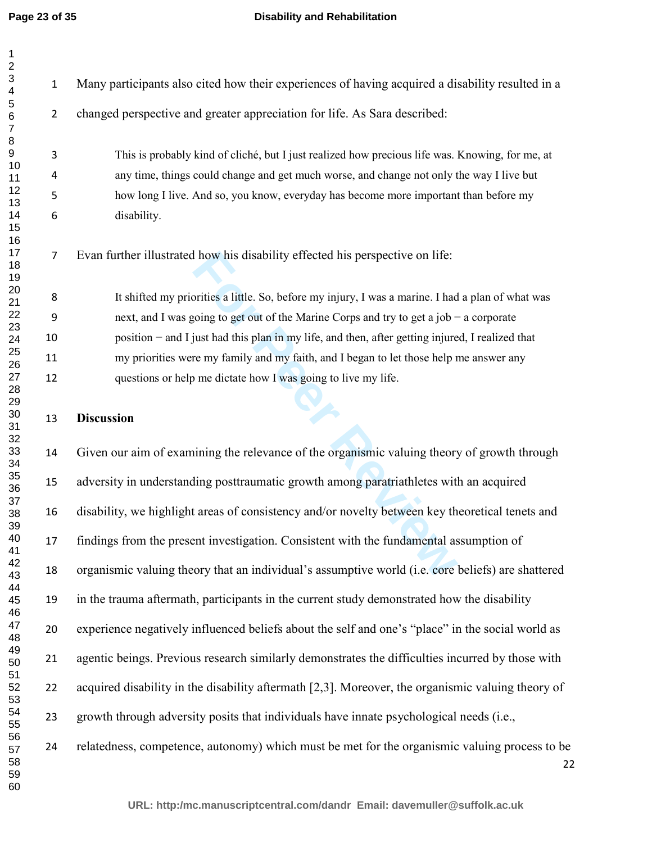$\mathbf{1}$  $\overline{2}$  $\overline{\mathbf{4}}$  $\overline{7}$  $\,8\,$  $\boldsymbol{9}$ 

#### **Disability and Rehabilitation**

| $\mathbf{1}$     | Many participants also cited how their experiences of having acquired a disability resulted in a    |
|------------------|-----------------------------------------------------------------------------------------------------|
| $\overline{2}$   | changed perspective and greater appreciation for life. As Sara described:                           |
| $\mathbf{3}$     | This is probably kind of cliché, but I just realized how precious life was. Knowing, for me, at     |
| 4                | any time, things could change and get much worse, and change not only the way I live but            |
| 5                | how long I live. And so, you know, everyday has become more important than before my                |
| $\boldsymbol{6}$ | disability.                                                                                         |
| $\overline{7}$   | Evan further illustrated how his disability effected his perspective on life:                       |
| 8                | It shifted my priorities a little. So, before my injury, I was a marine. I had a plan of what was   |
| 9                | next, and I was going to get out of the Marine Corps and try to get a job $-$ a corporate           |
| 10               | position – and I just had this plan in my life, and then, after getting injured, I realized that    |
| 11               | my priorities were my family and my faith, and I began to let those help me answer any              |
| 12               | questions or help me dictate how I was going to live my life.                                       |
| 13               | <b>Discussion</b>                                                                                   |
| 14               | Given our aim of examining the relevance of the organismic valuing theory of growth through         |
| 15               | adversity in understanding posttraumatic growth among paratriathletes with an acquired              |
| 16               | disability, we highlight areas of consistency and/or novelty between key theoretical tenets and     |
| 17               | findings from the present investigation. Consistent with the fundamental assumption of              |
| 18               | organismic valuing theory that an individual's assumptive world (i.e. core beliefs) are shattered   |
| 19               | in the trauma aftermath, participants in the current study demonstrated how the disability          |
| 20               | experience negatively influenced beliefs about the self and one's "place" in the social world as    |
| 21               | agentic beings. Previous research similarly demonstrates the difficulties incurred by those with    |
| 22               | acquired disability in the disability aftermath [2,3]. Moreover, the organismic valuing theory of   |
| 23               | growth through adversity posits that individuals have innate psychological needs (i.e.,             |
| 24               | relatedness, competence, autonomy) which must be met for the organismic valuing process to be<br>22 |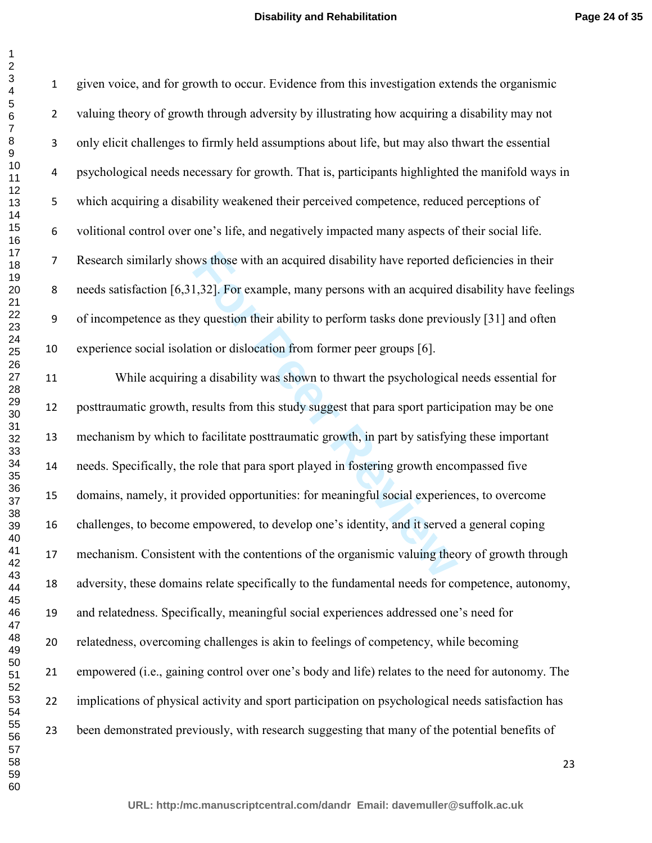| 2                                |
|----------------------------------|
| S                                |
| 4                                |
|                                  |
| 5<br>6                           |
|                                  |
|                                  |
|                                  |
|                                  |
| 8<br>9<br>10                     |
|                                  |
|                                  |
|                                  |
|                                  |
|                                  |
| 11<br>12<br>13<br>14<br>15<br>16 |
|                                  |
| 1<br>$\overline{7}$              |
| 18                               |
| 19<br>-                          |
| 20                               |
|                                  |
|                                  |
|                                  |
|                                  |
|                                  |
|                                  |
|                                  |
|                                  |
|                                  |
|                                  |
|                                  |
|                                  |
|                                  |
|                                  |
|                                  |
|                                  |
|                                  |
|                                  |
|                                  |
|                                  |
|                                  |
|                                  |
|                                  |
|                                  |
| 40                               |
| 41                               |
| 4:                               |
| $4^{\circ}$<br>\$                |
| 44                               |
| 45                               |
| 46                               |
|                                  |
| 47                               |
| 48                               |
| 49                               |
| 50                               |
| 5<br>1                           |
| 52                               |
| 3                                |
| E<br>X                           |
| 54                               |
| 55                               |
| 56<br>ć                          |
| 57                               |
| 58<br>3                          |
| 59                               |

given voice, and for growth to occur. Evidence from this investigation extends the organismic valuing theory of growth through adversity by illustrating how acquiring a disability may not only elicit challenges to firmly held assumptions about life, but may also thwart the essential psychological needs necessary for growth. That is, participants highlighted the manifold ways in which acquiring a disability weakened their perceived competence, reduced perceptions of volitional control over one's life, and negatively impacted many aspects of their social life. Research similarly shows those with an acquired disability have reported deficiencies in their needs satisfaction [6,31,32]. For example, many persons with an acquired disability have feelings of incompetence as they question their ability to perform tasks done previously [31] and often experience social isolation or dislocation from former peer groups [6].

ws those with an acquired disability have reported d<br>1,32]. For example, many persons with an acquired cy<br>y question their ability to perform tasks done previo<br>tion or dislocation from former peer groups [6].<br>g a disabilit While acquiring a disability was shown to thwart the psychological needs essential for posttraumatic growth, results from this study suggest that para sport participation may be one mechanism by which to facilitate posttraumatic growth, in part by satisfying these important needs. Specifically, the role that para sport played in fostering growth encompassed five domains, namely, it provided opportunities: for meaningful social experiences, to overcome challenges, to become empowered, to develop one's identity, and it served a general coping mechanism. Consistent with the contentions of the organismic valuing theory of growth through adversity, these domains relate specifically to the fundamental needs for competence, autonomy, and relatedness. Specifically, meaningful social experiences addressed one's need for relatedness, overcoming challenges is akin to feelings of competency, while becoming empowered (i.e., gaining control over one's body and life) relates to the need for autonomy. The implications of physical activity and sport participation on psychological needs satisfaction has been demonstrated previously, with research suggesting that many of the potential benefits of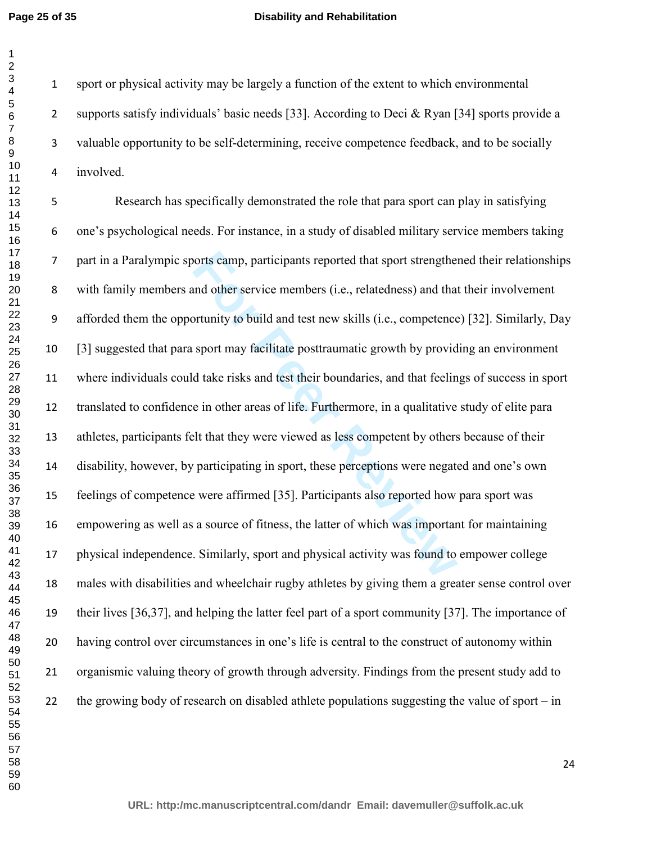$\mathbf{1}$ 

#### **Disability and Rehabilitation**

sport or physical activity may be largely a function of the extent to which environmental 2 supports satisfy individuals' basic needs [33]. According to Deci & Ryan [34] sports provide a valuable opportunity to be self-determining, receive competence feedback, and to be socially involved.

forts camp, participants reported that sport strengthend other service members (i.e., relatedness) and that both and the service members (i.e., relatedness) and that both and the sport may facilitate posttraumatic growth b Research has specifically demonstrated the role that para sport can play in satisfying one's psychological needs. For instance, in a study of disabled military service members taking part in a Paralympic sports camp, participants reported that sport strengthened their relationships with family members and other service members (i.e., relatedness) and that their involvement afforded them the opportunity to build and test new skills (i.e., competence) [32]. Similarly, Day [3] suggested that para sport may facilitate posttraumatic growth by providing an environment where individuals could take risks and test their boundaries, and that feelings of success in sport translated to confidence in other areas of life. Furthermore, in a qualitative study of elite para athletes, participants felt that they were viewed as less competent by others because of their disability, however, by participating in sport, these perceptions were negated and one's own feelings of competence were affirmed [35]. Participants also reported how para sport was empowering as well as a source of fitness, the latter of which was important for maintaining physical independence. Similarly, sport and physical activity was found to empower college males with disabilities and wheelchair rugby athletes by giving them a greater sense control over their lives [36,37], and helping the latter feel part of a sport community [37]. The importance of having control over circumstances in one's life is central to the construct of autonomy within organismic valuing theory of growth through adversity. Findings from the present study add to the growing body of research on disabled athlete populations suggesting the value of sport – in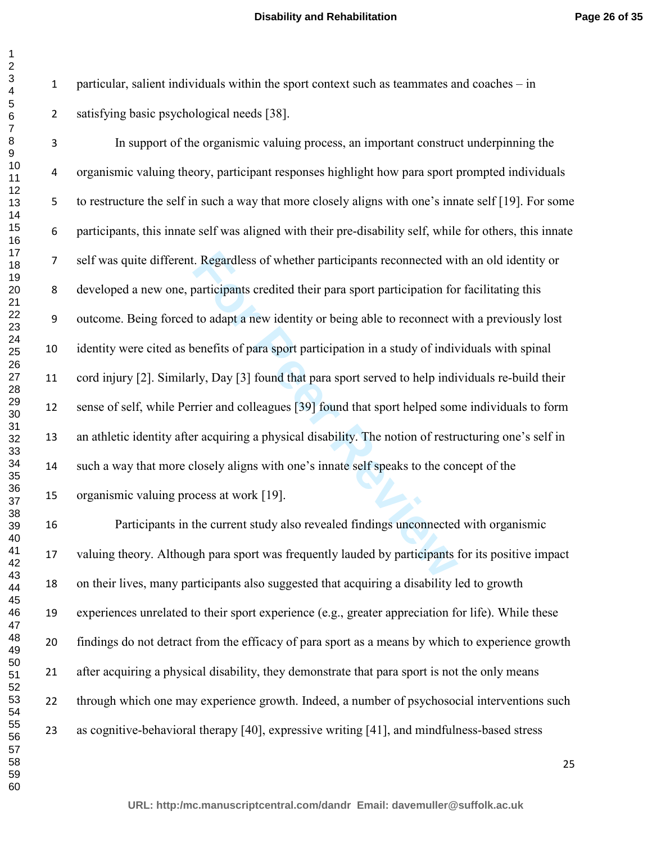particular, salient individuals within the sport context such as teammates and coaches – in satisfying basic psychological needs [38].

E. Regardless of whether participants reconnected witer-<br>participants credited their para sport participation for<br>to adapt a new identity or being able to reconnect we<br>penefits of para sport participation in a study of ind In support of the organismic valuing process, an important construct underpinning the organismic valuing theory, participant responses highlight how para sport prompted individuals to restructure the self in such a way that more closely aligns with one's innate self [19]. For some participants, this innate self was aligned with their pre-disability self, while for others, this innate self was quite different. Regardless of whether participants reconnected with an old identity or developed a new one, participants credited their para sport participation for facilitating this outcome. Being forced to adapt a new identity or being able to reconnect with a previously lost identity were cited as benefits of para sport participation in a study of individuals with spinal cord injury [2]. Similarly, Day [3] found that para sport served to help individuals re-build their sense of self, while Perrier and colleagues [39] found that sport helped some individuals to form an athletic identity after acquiring a physical disability. The notion of restructuring one's self in such a way that more closely aligns with one's innate self speaks to the concept of the organismic valuing process at work [19].

Participants in the current study also revealed findings unconnected with organismic valuing theory. Although para sport was frequently lauded by participants for its positive impact on their lives, many participants also suggested that acquiring a disability led to growth experiences unrelated to their sport experience (e.g., greater appreciation for life). While these findings do not detract from the efficacy of para sport as a means by which to experience growth after acquiring a physical disability, they demonstrate that para sport is not the only means through which one may experience growth. Indeed, a number of psychosocial interventions such as cognitive-behavioral therapy [40], expressive writing [41], and mindfulness-based stress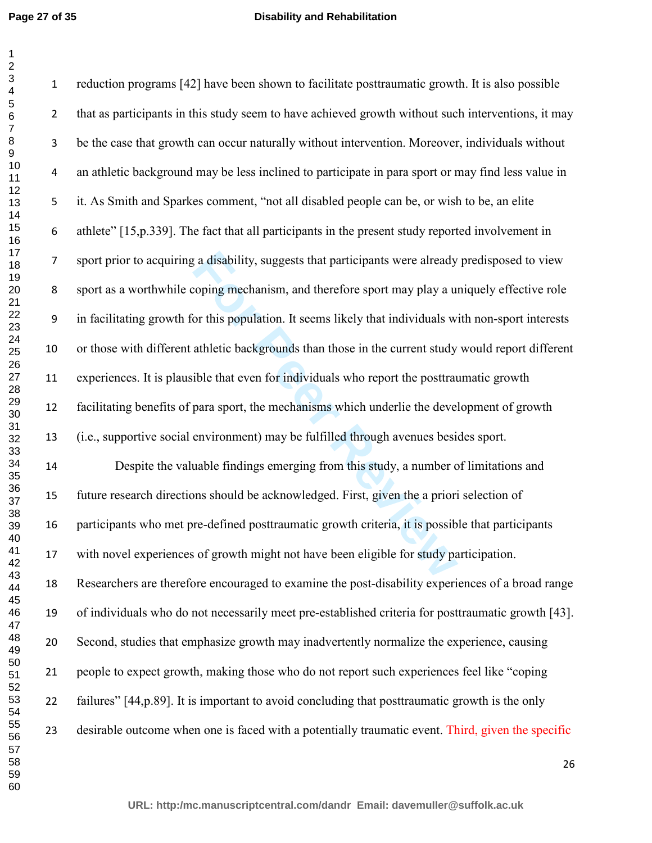**Page 27 of 35**

 $\mathbf{1}$ 

#### **Disability and Rehabilitation**

For a disability, suggests that participants were already<br>
For this population. It seems likely that individuals we<br>
a unity a disability and therefore sport may play a unity<br>
athletic backgrounds than those in the current reduction programs [42] have been shown to facilitate posttraumatic growth. It is also possible that as participants in this study seem to have achieved growth without such interventions, it may be the case that growth can occur naturally without intervention. Moreover, individuals without an athletic background may be less inclined to participate in para sport or may find less value in it. As Smith and Sparkes comment, "not all disabled people can be, or wish to be, an elite athlete" [15,p.339]. The fact that all participants in the present study reported involvement in sport prior to acquiring a disability, suggests that participants were already predisposed to view sport as a worthwhile coping mechanism, and therefore sport may play a uniquely effective role in facilitating growth for this population. It seems likely that individuals with non-sport interests or those with different athletic backgrounds than those in the current study would report different experiences. It is plausible that even for individuals who report the posttraumatic growth facilitating benefits of para sport, the mechanisms which underlie the development of growth (i.e., supportive social environment) may be fulfilled through avenues besides sport. Despite the valuable findings emerging from this study, a number of limitations and future research directions should be acknowledged. First, given the a priori selection of participants who met pre-defined posttraumatic growth criteria, it is possible that participants with novel experiences of growth might not have been eligible for study participation. Researchers are therefore encouraged to examine the post-disability experiences of a broad range of individuals who do not necessarily meet pre-established criteria for posttraumatic growth [43]. Second, studies that emphasize growth may inadvertently normalize the experience, causing people to expect growth, making those who do not report such experiences feel like "coping failures" [44,p.89]. It is important to avoid concluding that posttraumatic growth is the only desirable outcome when one is faced with a potentially traumatic event. Third, given the specific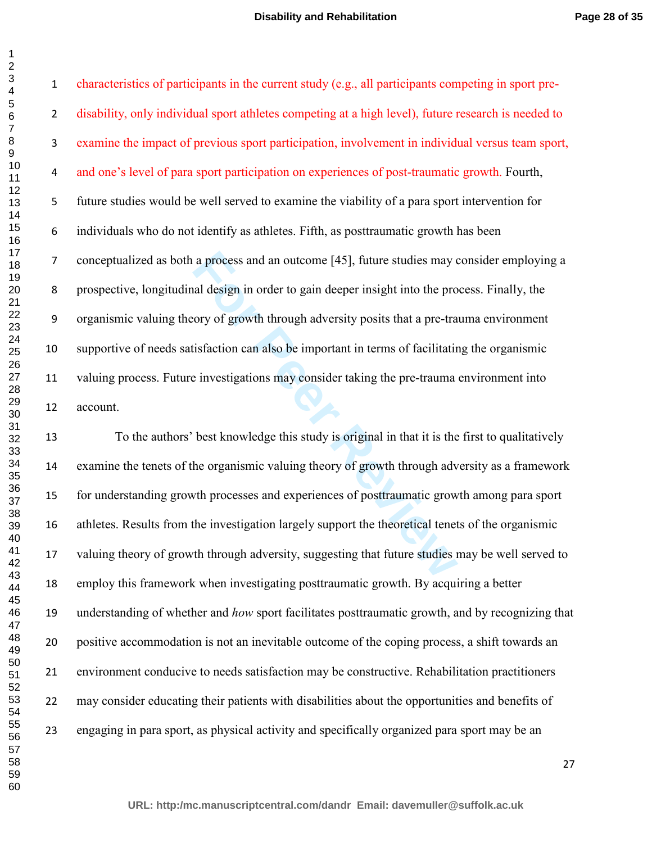$\mathbf 1$ 

a process and an outcome [45], future studies may call design in order to gain deeper insight into the pro-<br>cory of growth through adversity posits that a pre-tra<br>tisfaction can also be important in terms of facilitatir<br>e characteristics of participants in the current study (e.g., all participants competing in sport pre-disability, only individual sport athletes competing at a high level), future research is needed to examine the impact of previous sport participation, involvement in individual versus team sport, and one's level of para sport participation on experiences of post-traumatic growth. Fourth, future studies would be well served to examine the viability of a para sport intervention for individuals who do not identify as athletes. Fifth, as posttraumatic growth has been conceptualized as both a process and an outcome [45], future studies may consider employing a prospective, longitudinal design in order to gain deeper insight into the process. Finally, the organismic valuing theory of growth through adversity posits that a pre-trauma environment supportive of needs satisfaction can also be important in terms of facilitating the organismic valuing process. Future investigations may consider taking the pre-trauma environment into account.

To the authors' best knowledge this study is original in that it is the first to qualitatively examine the tenets of the organismic valuing theory of growth through adversity as a framework for understanding growth processes and experiences of posttraumatic growth among para sport athletes. Results from the investigation largely support the theoretical tenets of the organismic valuing theory of growth through adversity, suggesting that future studies may be well served to employ this framework when investigating posttraumatic growth. By acquiring a better understanding of whether and *how* sport facilitates posttraumatic growth, and by recognizing that positive accommodation is not an inevitable outcome of the coping process, a shift towards an environment conducive to needs satisfaction may be constructive. Rehabilitation practitioners may consider educating their patients with disabilities about the opportunities and benefits of engaging in para sport, as physical activity and specifically organized para sport may be an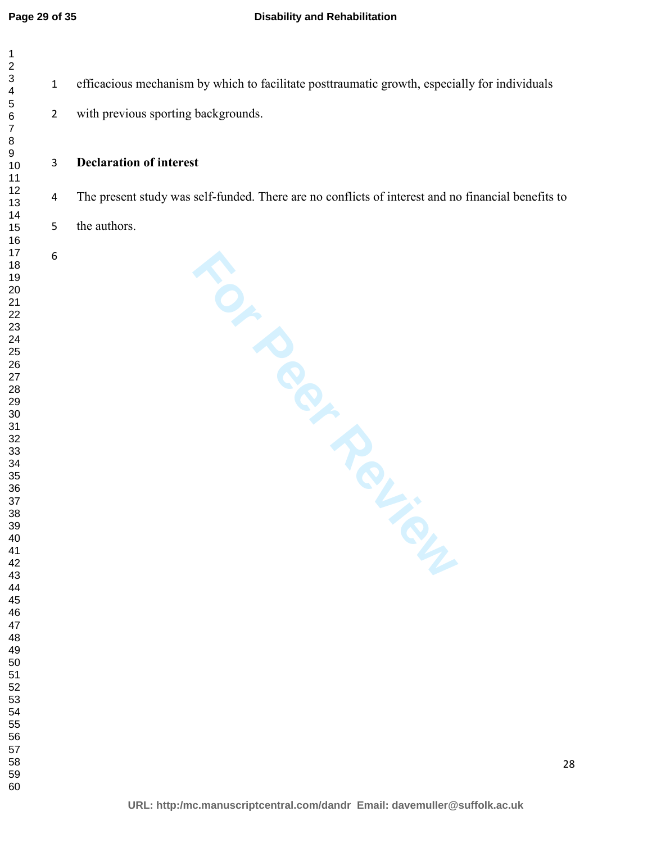| 1              |  |
|----------------|--|
| $\overline{c}$ |  |
|                |  |
|                |  |
|                |  |
|                |  |
|                |  |
|                |  |
|                |  |
|                |  |
|                |  |
|                |  |
|                |  |
|                |  |
|                |  |
|                |  |
|                |  |
|                |  |
|                |  |
|                |  |
|                |  |
|                |  |
|                |  |
|                |  |
|                |  |
|                |  |
|                |  |
|                |  |
|                |  |
|                |  |
|                |  |
|                |  |
|                |  |
|                |  |
|                |  |
|                |  |
|                |  |
|                |  |
|                |  |
| 40             |  |
| 41             |  |
| 42             |  |
| 43             |  |
| 44             |  |
| 45             |  |
| 46             |  |
| 47             |  |
| 48             |  |
| 49             |  |
| 50             |  |
| 51             |  |
| -<br>52        |  |
| 53             |  |
| 54             |  |
| 55             |  |
| 56             |  |
| 57             |  |
| 58             |  |
| 59             |  |
| 60             |  |
|                |  |

efficacious mechanism by which to facilitate posttraumatic growth, especially for individuals

with previous sporting backgrounds.

# **Declaration of interest**

The present study was self-funded. There are no conflicts of interest and no financial benefits to

the authors.

add.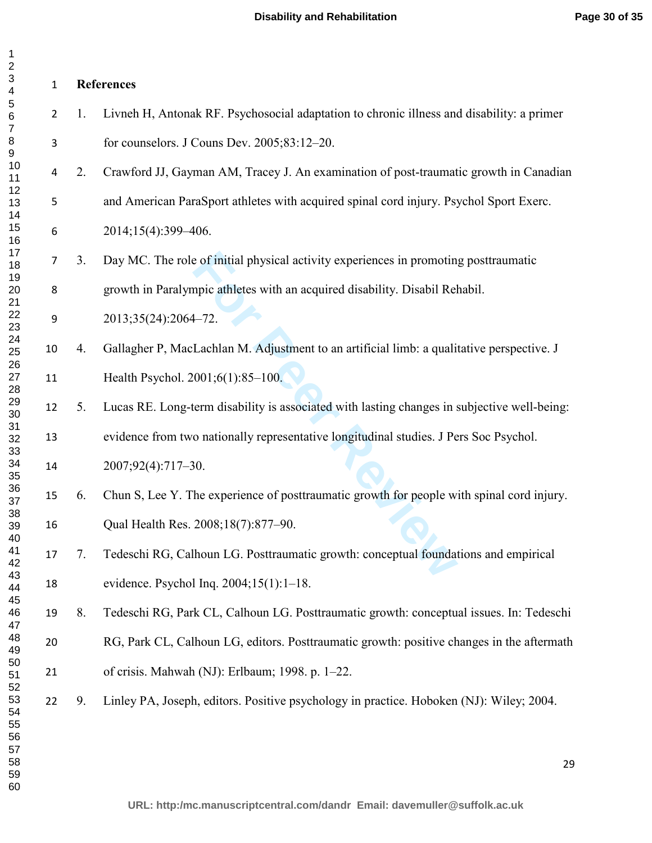| $\mathbf{1}$<br>$\overline{\mathbf{c}}$ |                  |    |                                                                                             |
|-----------------------------------------|------------------|----|---------------------------------------------------------------------------------------------|
| 3<br>4                                  | $\mathbf 1$      |    | <b>References</b>                                                                           |
| $\sqrt{5}$<br>$\,6$                     | 2                | 1. | Livneh H, Antonak RF. Psychosocial adaptation to chronic illness and disability: a primer   |
| 7<br>$\bf 8$<br>$\boldsymbol{9}$        | 3                |    | for counselors. J Couns Dev. 2005;83:12-20.                                                 |
| 10<br>11                                | $\sqrt{4}$       | 2. | Crawford JJ, Gayman AM, Tracey J. An examination of post-traumatic growth in Canadian       |
| 12<br>13<br>14                          | 5                |    | and American ParaSport athletes with acquired spinal cord injury. Psychol Sport Exerc.      |
| 15<br>16                                | $\boldsymbol{6}$ |    | 2014;15(4):399-406.                                                                         |
| 17<br>18                                | $\overline{7}$   | 3. | Day MC. The role of initial physical activity experiences in promoting posttraumatic        |
| 19<br>20<br>21                          | 8                |    | growth in Paralympic athletes with an acquired disability. Disabil Rehabil.                 |
| 22<br>23                                | 9                |    | 2013;35(24):2064-72.                                                                        |
| 24<br>25                                | 10               | 4. | Gallagher P, MacLachlan M. Adjustment to an artificial limb: a qualitative perspective. J   |
| 26<br>27<br>28                          | 11               |    | Health Psychol. 2001;6(1):85-100.                                                           |
| 29<br>30                                | 12               | 5. | Lucas RE. Long-term disability is associated with lasting changes in subjective well-being: |
| 31<br>32                                | 13               |    | evidence from two nationally representative longitudinal studies. J Pers Soc Psychol.       |
| 33<br>34<br>35                          | 14               |    | 2007;92(4):717-30.                                                                          |
| 36<br>37                                | 15               | 6. | Chun S, Lee Y. The experience of posttraumatic growth for people with spinal cord injury.   |
| 38<br>39<br>40                          | 16               |    | Qual Health Res. 2008;18(7):877-90.                                                         |
| 41<br>42                                | 17               | 7. | Tedeschi RG, Calhoun LG. Posttraumatic growth: conceptual foundations and empirical         |
| 43<br>44                                | 18               |    | evidence. Psychol Inq. 2004;15(1):1-18.                                                     |
| 45<br>46<br>47                          | 19               | 8. | Tedeschi RG, Park CL, Calhoun LG. Posttraumatic growth: conceptual issues. In: Tedeschi     |
| 48<br>49                                | 20               |    | RG, Park CL, Calhoun LG, editors. Posttraumatic growth: positive changes in the aftermath   |
| 50<br>51                                | 21               |    | of crisis. Mahwah (NJ): Erlbaum; 1998. p. 1–22.                                             |
| 52<br>53<br>54<br>55<br>56              | 22               | 9. | Linley PA, Joseph, editors. Positive psychology in practice. Hoboken (NJ): Wiley; 2004.     |
| 57<br>58<br>59                          |                  |    | 29                                                                                          |

 $\mathbf{1}$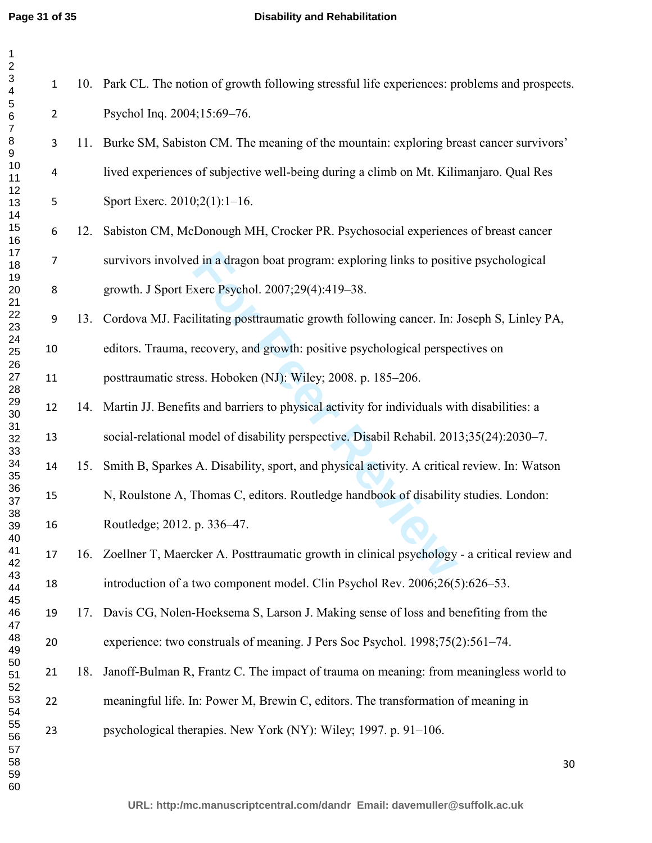| 1                          |                |
|----------------------------|----------------|
| $\frac{2}{3}$<br>4         |                |
| 5<br>6                     | I              |
| 7<br>8<br>9                |                |
| 10<br>11                   | ֚֚֡֝           |
| 12<br>13                   | ֺ֚             |
| $\frac{14}{5}$             |                |
| 15<br>16<br>17<br>18<br>19 |                |
|                            | ֘֒             |
| 20<br>21<br>22             | ֖֚֚֚֬֕֝֬       |
| 23<br>24<br>25             | $\mathbf{1}$   |
| 26<br>27                   | 1              |
| 28<br>29                   | $\mathbf 1$    |
| 30<br>31<br>32             | $\mathbf{1}$   |
| 33<br>34                   | $\mathbf{1}$   |
| 35<br>36<br>37             | $\mathbf{1}$   |
| 38<br>39                   | 1              |
| 40<br>41                   | $\mathbf{1}$   |
| 42<br>43<br>44             | $\mathbf{1}$   |
| 45<br>46                   | $\mathbf{1}$   |
| 47<br>48                   | $\overline{c}$ |
| 49<br>50                   | 2              |
| 51<br>52<br>53             |                |
| 54<br>55                   | 2              |
| 56<br>57                   | 2              |
| 58<br>59<br>60             |                |
|                            |                |

10. Park CL. The notion of growth following stressful life experiences: problems and prospects. Psychol Inq. 2004;15:69–76.

- 11. Burke SM, Sabiston CM. The meaning of the mountain: exploring breast cancer survivors' lived experiences of subjective well-being during a climb on Mt. Kilimanjaro. Qual Res Sport Exerc. 2010;2(1):1–16.
- 12. Sabiston CM, McDonough MH, Crocker PR. Psychosocial experiences of breast cancer survivors involved in a dragon boat program: exploring links to positive psychological growth. J Sport Exerc Psychol. 2007;29(4):419–38.
- d in a dragon boat program: exploring links to positi<br>
xerc Psychol. 2007;29(4):419–38.<br>
ilitating posttraumatic growth following cancer. In: 3<br>
recovery, and growth: positive psychological perspections.<br>
For Psychological 13. Cordova MJ. Facilitating posttraumatic growth following cancer. In: Joseph S, Linley PA, editors. Trauma, recovery, and growth: positive psychological perspectives on posttraumatic stress. Hoboken (NJ): Wiley; 2008. p. 185–206.
- 14. Martin JJ. Benefits and barriers to physical activity for individuals with disabilities: a social-relational model of disability perspective. Disabil Rehabil. 2013;35(24):2030–7.

# 15. Smith B, Sparkes A. Disability, sport, and physical activity. A critical review. In: Watson N, Roulstone A, Thomas C, editors. Routledge handbook of disability studies. London: Routledge; 2012. p. 336–47.

- 16. Zoellner T, Maercker A. Posttraumatic growth in clinical psychology a critical review and introduction of a two component model. Clin Psychol Rev. 2006;26(5):626–53.
- 17. Davis CG, Nolen-Hoeksema S, Larson J. Making sense of loss and benefiting from the experience: two construals of meaning. J Pers Soc Psychol. 1998;75(2):561–74.
	- 18. Janoff-Bulman R, Frantz C. The impact of trauma on meaning: from meaningless world to meaningful life. In: Power M, Brewin C, editors. The transformation of meaning in
	- psychological therapies. New York (NY): Wiley; 1997. p. 91–106.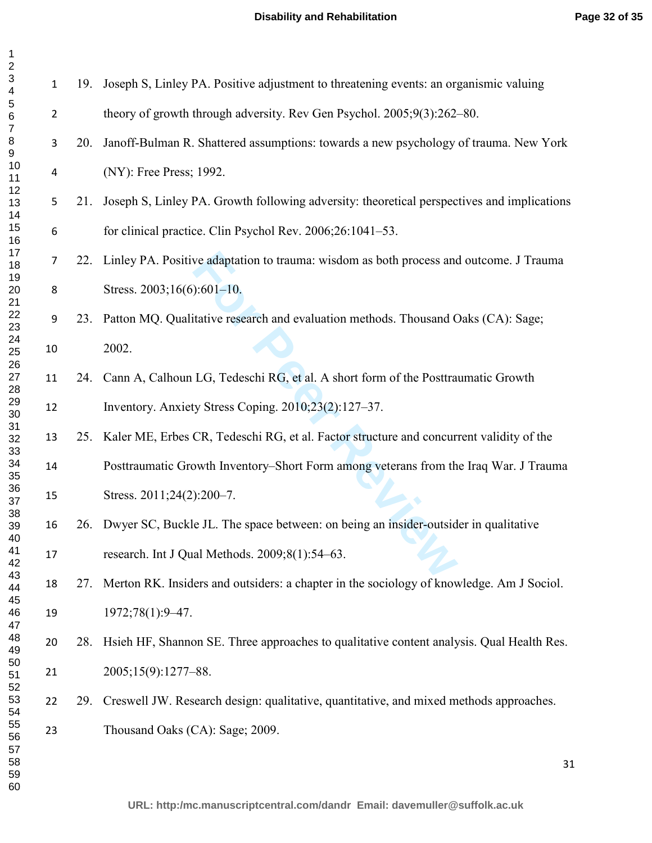$\mathbf{1}$  $\overline{2}$ 

| $\mathbf{1}$<br>$\overline{\mathbf{c}}$ |                  |     |                                                                                            |
|-----------------------------------------|------------------|-----|--------------------------------------------------------------------------------------------|
| 3<br>4                                  | $\mathbf 1$      | 19. | Joseph S, Linley PA. Positive adjustment to threatening events: an organismic valuing      |
| $\sqrt{5}$<br>$\,6$                     | 2                |     | theory of growth through adversity. Rev Gen Psychol. 2005;9(3):262–80.                     |
| 7<br>$\bf 8$<br>9                       | 3                | 20. | Janoff-Bulman R. Shattered assumptions: towards a new psychology of trauma. New York       |
| 10<br>11                                | $\pmb{4}$        |     | (NY): Free Press; 1992.                                                                    |
| 12<br>13                                | 5                | 21. | Joseph S, Linley PA. Growth following adversity: theoretical perspectives and implications |
| 14<br>15<br>16                          | $\boldsymbol{6}$ |     | for clinical practice. Clin Psychol Rev. 2006;26:1041-53.                                  |
| 17<br>18                                | $\overline{7}$   |     | 22. Linley PA. Positive adaptation to trauma: wisdom as both process and outcome. J Trauma |
| 19<br>20<br>21                          | 8                |     | Stress. 2003;16(6):601-10.                                                                 |
| 22<br>23                                | 9                | 23. | Patton MQ. Qualitative research and evaluation methods. Thousand Oaks (CA): Sage;          |
| 24<br>25                                | 10               |     | 2002.                                                                                      |
| 26<br>27<br>28                          | 11               |     | 24. Cann A, Calhoun LG, Tedeschi RG, et al. A short form of the Posttraumatic Growth       |
| 29<br>30                                | 12               |     | Inventory. Anxiety Stress Coping. 2010;23(2):127-37.                                       |
| 31<br>32                                | 13               | 25. | Kaler ME, Erbes CR, Tedeschi RG, et al. Factor structure and concurrent validity of the    |
| 33<br>34<br>35                          | 14               |     | Posttraumatic Growth Inventory-Short Form among veterans from the Iraq War. J Trauma       |
| 36<br>37                                | 15               |     | Stress. 2011;24(2):200-7.                                                                  |
| 38<br>39                                | 16               |     | 26. Dwyer SC, Buckle JL. The space between: on being an insider-outsider in qualitative    |
| 40<br>41<br>42                          | 17               |     | research. Int J Qual Methods. 2009;8(1):54-63.                                             |
| 43<br>44                                | 18               | 27. | Merton RK. Insiders and outsiders: a chapter in the sociology of knowledge. Am J Sociol.   |
| 45<br>46<br>47                          | 19               |     | 1972;78(1):9-47.                                                                           |
| 48<br>49                                | 20               | 28. | Hsieh HF, Shannon SE. Three approaches to qualitative content analysis. Qual Health Res.   |
| 50<br>51                                | 21               |     | 2005;15(9):1277-88.                                                                        |
| 52<br>53<br>54                          | 22               | 29. | Creswell JW. Research design: qualitative, quantitative, and mixed methods approaches.     |
| 55<br>56                                | 23               |     | Thousand Oaks (CA): Sage; 2009.                                                            |
| 57<br>58                                |                  |     | 31                                                                                         |
| 59<br>60                                |                  |     |                                                                                            |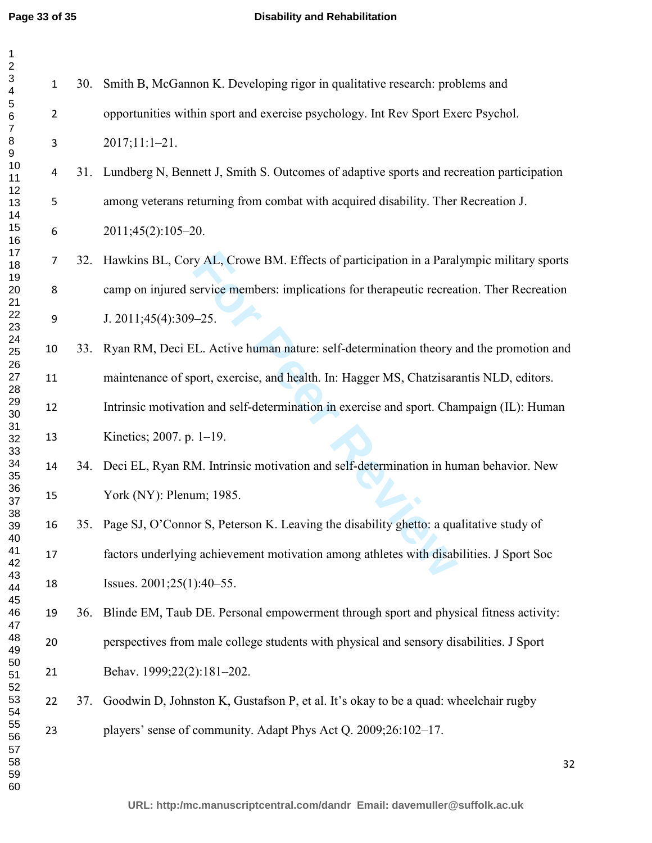$\mathbf 1$ 

| $\mathbf 1$      |     | Smith B, McGannon K. Developing rigor in qualitative research: problems and             |                                                                                                                                                                                                                                                                                                                                                                                                                                                                                                                                                                                                                                                                                   |
|------------------|-----|-----------------------------------------------------------------------------------------|-----------------------------------------------------------------------------------------------------------------------------------------------------------------------------------------------------------------------------------------------------------------------------------------------------------------------------------------------------------------------------------------------------------------------------------------------------------------------------------------------------------------------------------------------------------------------------------------------------------------------------------------------------------------------------------|
| $\overline{2}$   |     | opportunities within sport and exercise psychology. Int Rev Sport Exerc Psychol.        |                                                                                                                                                                                                                                                                                                                                                                                                                                                                                                                                                                                                                                                                                   |
| 3                |     | $2017;11:1-21.$                                                                         |                                                                                                                                                                                                                                                                                                                                                                                                                                                                                                                                                                                                                                                                                   |
| $\overline{4}$   |     |                                                                                         |                                                                                                                                                                                                                                                                                                                                                                                                                                                                                                                                                                                                                                                                                   |
| 5                |     | among veterans returning from combat with acquired disability. Ther Recreation J.       |                                                                                                                                                                                                                                                                                                                                                                                                                                                                                                                                                                                                                                                                                   |
| $\boldsymbol{6}$ |     | 2011;45(2):105-20.                                                                      |                                                                                                                                                                                                                                                                                                                                                                                                                                                                                                                                                                                                                                                                                   |
| 7                |     |                                                                                         |                                                                                                                                                                                                                                                                                                                                                                                                                                                                                                                                                                                                                                                                                   |
| 8                |     |                                                                                         |                                                                                                                                                                                                                                                                                                                                                                                                                                                                                                                                                                                                                                                                                   |
| 9                |     | J. 2011;45(4):309-25.                                                                   |                                                                                                                                                                                                                                                                                                                                                                                                                                                                                                                                                                                                                                                                                   |
| $10\,$           | 33. |                                                                                         |                                                                                                                                                                                                                                                                                                                                                                                                                                                                                                                                                                                                                                                                                   |
| 11               |     | maintenance of sport, exercise, and health. In: Hagger MS, Chatzisarantis NLD, editors. |                                                                                                                                                                                                                                                                                                                                                                                                                                                                                                                                                                                                                                                                                   |
| 12               |     |                                                                                         |                                                                                                                                                                                                                                                                                                                                                                                                                                                                                                                                                                                                                                                                                   |
| 13               |     | Kinetics; 2007. p. 1–19.                                                                |                                                                                                                                                                                                                                                                                                                                                                                                                                                                                                                                                                                                                                                                                   |
| 14               |     |                                                                                         |                                                                                                                                                                                                                                                                                                                                                                                                                                                                                                                                                                                                                                                                                   |
| 15               |     | York (NY): Plenum; 1985.                                                                |                                                                                                                                                                                                                                                                                                                                                                                                                                                                                                                                                                                                                                                                                   |
| 16               |     | Page SJ, O'Connor S, Peterson K. Leaving the disability ghetto: a qualitative study of  |                                                                                                                                                                                                                                                                                                                                                                                                                                                                                                                                                                                                                                                                                   |
| 17               |     | factors underlying achievement motivation among athletes with disabilities. J Sport Soc |                                                                                                                                                                                                                                                                                                                                                                                                                                                                                                                                                                                                                                                                                   |
| 18               |     | Issues. 2001;25(1):40–55.                                                               |                                                                                                                                                                                                                                                                                                                                                                                                                                                                                                                                                                                                                                                                                   |
| 19               | 36. |                                                                                         |                                                                                                                                                                                                                                                                                                                                                                                                                                                                                                                                                                                                                                                                                   |
| 20               |     | perspectives from male college students with physical and sensory disabilities. J Sport |                                                                                                                                                                                                                                                                                                                                                                                                                                                                                                                                                                                                                                                                                   |
| 21               |     | Behav. 1999;22(2):181-202.                                                              |                                                                                                                                                                                                                                                                                                                                                                                                                                                                                                                                                                                                                                                                                   |
| 22               | 37. | Goodwin D, Johnston K, Gustafson P, et al. It's okay to be a quad: wheelchair rugby     |                                                                                                                                                                                                                                                                                                                                                                                                                                                                                                                                                                                                                                                                                   |
| 23               |     | players' sense of community. Adapt Phys Act Q. 2009;26:102-17.                          |                                                                                                                                                                                                                                                                                                                                                                                                                                                                                                                                                                                                                                                                                   |
|                  |     |                                                                                         | 32                                                                                                                                                                                                                                                                                                                                                                                                                                                                                                                                                                                                                                                                                |
|                  |     |                                                                                         | 30.<br>31. Lundberg N, Bennett J, Smith S. Outcomes of adaptive sports and recreation participation<br>32. Hawkins BL, Cory AL, Crowe BM. Effects of participation in a Paralympic military sports<br>camp on injured service members: implications for therapeutic recreation. Ther Recreation<br>Ryan RM, Deci EL. Active human nature: self-determination theory and the promotion and<br>Intrinsic motivation and self-determination in exercise and sport. Champaign (IL): Human<br>34. Deci EL, Ryan RM. Intrinsic motivation and self-determination in human behavior. New<br>35.<br>Blinde EM, Taub DE. Personal empowerment through sport and physical fitness activity: |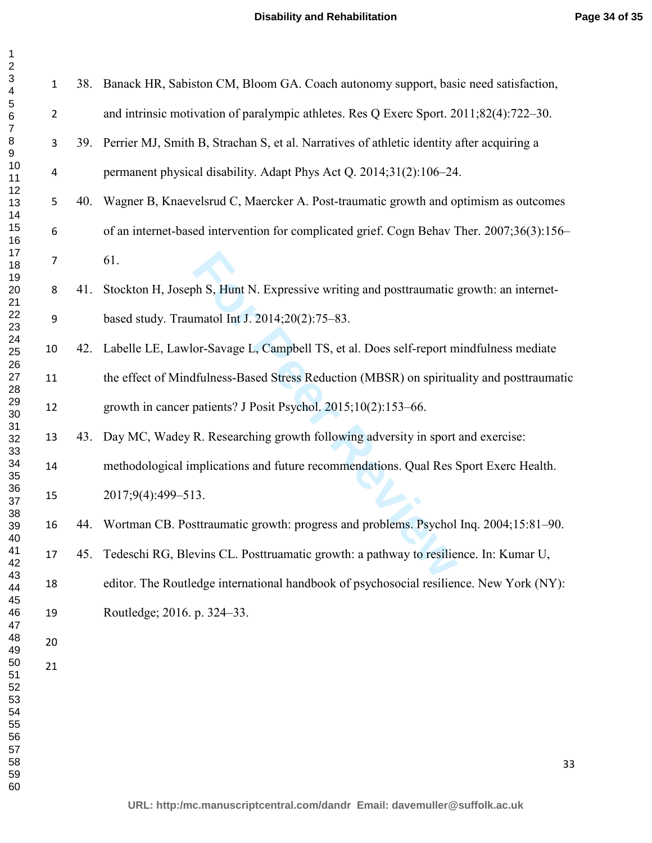#### **Disability and Rehabilitation**

 $\mathbf{1}$  $\overline{2}$  $\overline{\mathbf{4}}$  $\overline{7}$  $\,8\,$ 

| 3<br>4                   | 1                |     | 38. Banack HR, Sabiston CM, Bloom GA. Coach autonomy support, basic need satisfaction,    |
|--------------------------|------------------|-----|-------------------------------------------------------------------------------------------|
| 5<br>6                   | $\overline{2}$   |     | and intrinsic motivation of paralympic athletes. Res Q Exerc Sport. 2011;82(4):722-30.    |
| $\overline{7}$<br>8<br>9 | 3                | 39. | Perrier MJ, Smith B, Strachan S, et al. Narratives of athletic identity after acquiring a |
| 10<br>11                 | 4                |     | permanent physical disability. Adapt Phys Act Q. 2014;31(2):106–24.                       |
| 12<br>13                 | 5                | 40. | Wagner B, Knaevelsrud C, Maercker A. Post-traumatic growth and optimism as outcomes       |
| 14<br>15<br>16           | $\boldsymbol{6}$ |     | of an internet-based intervention for complicated grief. Cogn Behav Ther. 2007;36(3):156– |
| 17<br>18                 | 7                |     | 61.                                                                                       |
| 19<br>20<br>21           | 8                | 41. | Stockton H, Joseph S, Hunt N. Expressive writing and posttraumatic growth: an internet-   |
| 22<br>23                 | 9                |     | based study. Traumatol Int J. 2014;20(2):75-83.                                           |
| 24<br>25                 | 10               | 42. | Labelle LE, Lawlor-Savage L, Campbell TS, et al. Does self-report mindfulness mediate     |
| 26<br>27<br>28           | 11               |     | the effect of Mindfulness-Based Stress Reduction (MBSR) on spirituality and posttraumatic |
| 29<br>30                 | 12               |     | growth in cancer patients? J Posit Psychol. 2015;10(2):153-66.                            |
| 31<br>32                 | 13               | 43. | Day MC, Wadey R. Researching growth following adversity in sport and exercise:            |
| 33<br>34<br>35           | 14               |     | methodological implications and future recommendations. Qual Res Sport Exerc Health.      |
| 36<br>37                 | 15               |     | 2017;9(4):499-513.                                                                        |
| 38<br>39                 | 16               | 44. | Wortman CB. Posttraumatic growth: progress and problems. Psychol Inq. 2004;15:81–90.      |
| 40<br>41<br>42           | 17               | 45. | Tedeschi RG, Blevins CL. Posttruamatic growth: a pathway to resilience. In: Kumar U,      |
| 43<br>44                 | 18               |     | editor. The Routledge international handbook of psychosocial resilience. New York (NY):   |
| 45<br>46<br>47           | 19               |     | Routledge; 2016. p. 324–33.                                                               |
| 48<br>49                 | 20               |     |                                                                                           |
| 50<br>51                 | 21               |     |                                                                                           |
| 52<br>53<br>54           |                  |     |                                                                                           |
| 55<br>56                 |                  |     |                                                                                           |
| 57<br>58                 |                  |     | 33                                                                                        |
| 59<br>60                 |                  |     |                                                                                           |